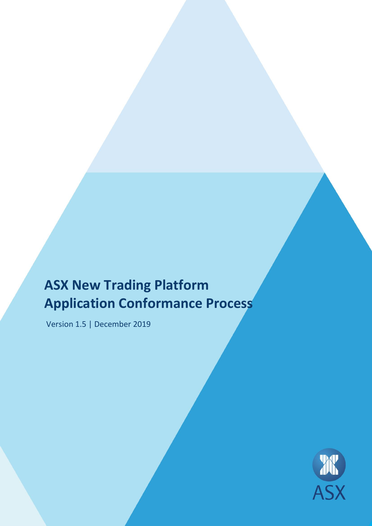# **ASX New Trading Platform Application Conformance Process**

Version 1.5 | December 2019

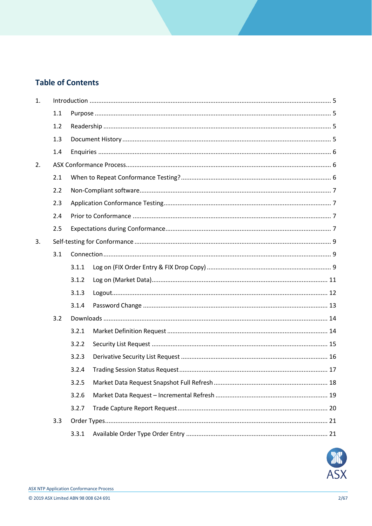# **Table of Contents**

| 1. |     |       |  |  |
|----|-----|-------|--|--|
|    | 1.1 |       |  |  |
|    | 1.2 |       |  |  |
|    | 1.3 |       |  |  |
|    | 1.4 |       |  |  |
| 2. |     |       |  |  |
|    | 2.1 |       |  |  |
|    | 2.2 |       |  |  |
|    | 2.3 |       |  |  |
|    | 2.4 |       |  |  |
|    | 2.5 |       |  |  |
| 3. |     |       |  |  |
|    | 3.1 |       |  |  |
|    |     | 3.1.1 |  |  |
|    |     | 3.1.2 |  |  |
|    |     | 3.1.3 |  |  |
|    |     | 3.1.4 |  |  |
|    | 3.2 |       |  |  |
|    |     | 3.2.1 |  |  |
|    |     | 3.2.2 |  |  |
|    |     | 3.2.3 |  |  |
|    |     | 3.2.4 |  |  |
|    |     | 3.2.5 |  |  |
|    |     | 3.2.6 |  |  |
|    |     | 3.2.7 |  |  |
|    | 3.3 |       |  |  |
|    |     | 3.3.1 |  |  |

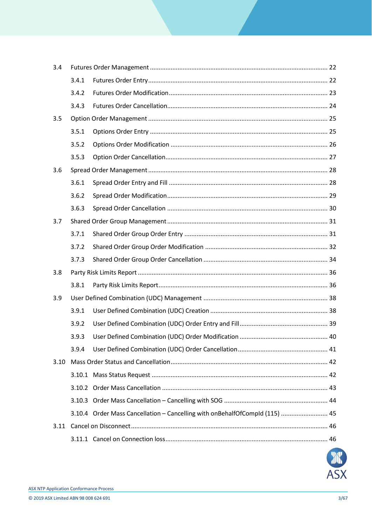| 3.4  |       |                                                                             |  |
|------|-------|-----------------------------------------------------------------------------|--|
|      | 3.4.1 |                                                                             |  |
|      | 3.4.2 |                                                                             |  |
|      | 3.4.3 |                                                                             |  |
| 3.5  |       |                                                                             |  |
|      | 3.5.1 |                                                                             |  |
|      | 3.5.2 |                                                                             |  |
|      | 3.5.3 |                                                                             |  |
| 3.6  |       |                                                                             |  |
|      | 3.6.1 |                                                                             |  |
|      | 3.6.2 |                                                                             |  |
|      | 3.6.3 |                                                                             |  |
| 3.7  |       |                                                                             |  |
|      | 3.7.1 |                                                                             |  |
|      | 3.7.2 |                                                                             |  |
|      | 3.7.3 |                                                                             |  |
| 3.8  |       |                                                                             |  |
|      | 3.8.1 |                                                                             |  |
| 3.9  |       |                                                                             |  |
|      | 3.9.1 |                                                                             |  |
|      | 3.9.2 |                                                                             |  |
|      | 3.9.3 |                                                                             |  |
|      | 3.9.4 |                                                                             |  |
| 3.10 |       |                                                                             |  |
|      |       |                                                                             |  |
|      |       |                                                                             |  |
|      |       |                                                                             |  |
|      |       |                                                                             |  |
|      |       | 3.10.4 Order Mass Cancellation - Cancelling with onBehalfOfCompld (115)  45 |  |
| 3.11 |       |                                                                             |  |

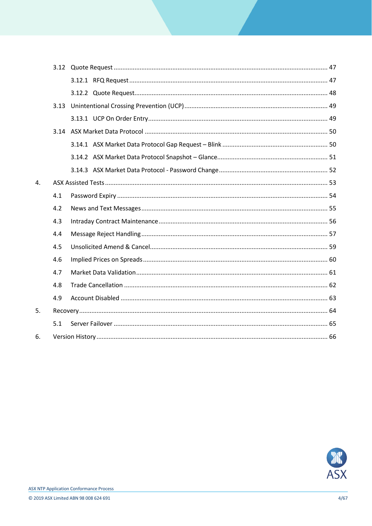|    | 3.13 |  |  |
|----|------|--|--|
|    |      |  |  |
|    |      |  |  |
|    |      |  |  |
|    |      |  |  |
|    |      |  |  |
| 4. |      |  |  |
|    | 4.1  |  |  |
|    | 4.2  |  |  |
|    | 4.3  |  |  |
|    | 4.4  |  |  |
|    | 4.5  |  |  |
|    | 4.6  |  |  |
|    | 4.7  |  |  |
|    | 4.8  |  |  |
|    | 4.9  |  |  |
| 5. |      |  |  |
|    | 5.1  |  |  |
| 6. |      |  |  |

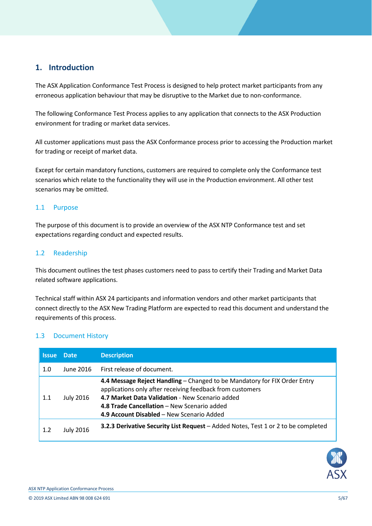# <span id="page-4-0"></span>**1. Introduction**

The ASX Application Conformance Test Process is designed to help protect market participants from any erroneous application behaviour that may be disruptive to the Market due to non-conformance.

The following Conformance Test Process applies to any application that connects to the ASX Production environment for trading or market data services.

All customer applications must pass the ASX Conformance process prior to accessing the Production market for trading or receipt of market data.

Except for certain mandatory functions, customers are required to complete only the Conformance test scenarios which relate to the functionality they will use in the Production environment. All other test scenarios may be omitted.

#### <span id="page-4-1"></span>1.1 Purpose

The purpose of this document is to provide an overview of the ASX NTP Conformance test and set expectations regarding conduct and expected results.

#### <span id="page-4-2"></span>1.2 Readership

This document outlines the test phases customers need to pass to certify their Trading and Market Data related software applications.

Technical staff within ASX 24 participants and information vendors and other market participants that connect directly to the ASX New Trading Platform are expected to read this document and understand the requirements of this process.

#### <span id="page-4-3"></span>1.3 Document History

| <b>Issue</b> | <b>Date</b> | <b>Description</b>                                                                                                                                                                                                                                                                    |  |
|--------------|-------------|---------------------------------------------------------------------------------------------------------------------------------------------------------------------------------------------------------------------------------------------------------------------------------------|--|
| 1.0          | June 2016   | First release of document.                                                                                                                                                                                                                                                            |  |
| 1.1          | July 2016   | 4.4 Message Reject Handling – Changed to be Mandatory for FIX Order Entry<br>applications only after receiving feedback from customers<br>4.7 Market Data Validation - New Scenario added<br>4.8 Trade Cancellation - New Scenario added<br>4.9 Account Disabled – New Scenario Added |  |
| 1.2          | July 2016   | <b>3.2.3 Derivative Security List Request</b> – Added Notes, Test 1 or 2 to be completed                                                                                                                                                                                              |  |

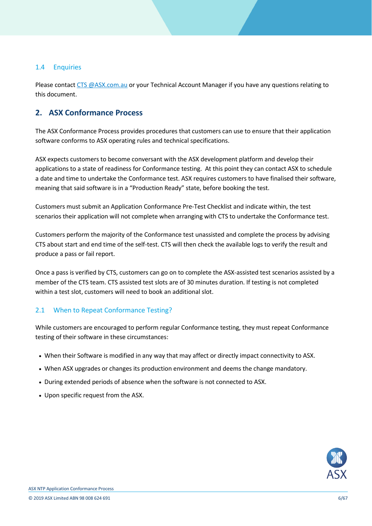## <span id="page-5-0"></span>1.4 Enquiries

Please contact [CTS @ASX.com.au](mailto:CTS@asx.com.au) or your Technical Account Manager if you have any questions relating to this document.

# <span id="page-5-1"></span>**2. ASX Conformance Process**

The ASX Conformance Process provides procedures that customers can use to ensure that their application software conforms to ASX operating rules and technical specifications.

ASX expects customers to become conversant with the ASX development platform and develop their applications to a state of readiness for Conformance testing. At this point they can contact ASX to schedule a date and time to undertake the Conformance test. ASX requires customers to have finalised their software, meaning that said software is in a "Production Ready" state, before booking the test.

Customers must submit an Application Conformance Pre-Test Checklist and indicate within, the test scenarios their application will not complete when arranging with CTS to undertake the Conformance test.

Customers perform the majority of the Conformance test unassisted and complete the process by advising CTS about start and end time of the self-test. CTS will then check the available logs to verify the result and produce a pass or fail report.

Once a pass is verified by CTS, customers can go on to complete the ASX-assisted test scenarios assisted by a member of the CTS team. CTS assisted test slots are of 30 minutes duration. If testing is not completed within a test slot, customers will need to book an additional slot.

## <span id="page-5-2"></span>2.1 When to Repeat Conformance Testing?

While customers are encouraged to perform regular Conformance testing, they must repeat Conformance testing of their software in these circumstances:

- When their Software is modified in any way that may affect or directly impact connectivity to ASX.
- When ASX upgrades or changes its production environment and deems the change mandatory.
- During extended periods of absence when the software is not connected to ASX.
- Upon specific request from the ASX.

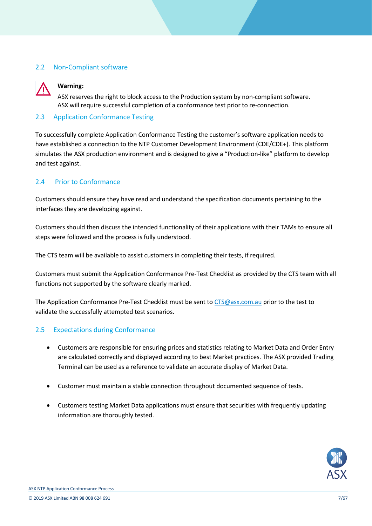## <span id="page-6-0"></span>2.2 Non-Compliant software



## **Warning:**

ASX reserves the right to block access to the Production system by non-compliant software. ASX will require successful completion of a conformance test prior to re-connection.

## <span id="page-6-1"></span>2.3 Application Conformance Testing

To successfully complete Application Conformance Testing the customer's software application needs to have established a connection to the NTP Customer Development Environment (CDE/CDE+). This platform simulates the ASX production environment and is designed to give a "Production-like" platform to develop and test against.

## <span id="page-6-2"></span>2.4 Prior to Conformance

Customers should ensure they have read and understand the specification documents pertaining to the interfaces they are developing against.

Customers should then discuss the intended functionality of their applications with their TAMs to ensure all steps were followed and the process is fully understood.

The CTS team will be available to assist customers in completing their tests, if required.

Customers must submit the Application Conformance Pre-Test Checklist as provided by the CTS team with all functions not supported by the software clearly marked.

The Application Conformance Pre-Test Checklist must be sent to [CTS@asx.com.au](mailto:CTS@asx.com.au) prior to the test to validate the successfully attempted test scenarios.

## <span id="page-6-3"></span>2.5 Expectations during Conformance

- Customers are responsible for ensuring prices and statistics relating to Market Data and Order Entry are calculated correctly and displayed according to best Market practices. The ASX provided Trading Terminal can be used as a reference to validate an accurate display of Market Data.
- Customer must maintain a stable connection throughout documented sequence of tests.
- Customers testing Market Data applications must ensure that securities with frequently updating information are thoroughly tested.

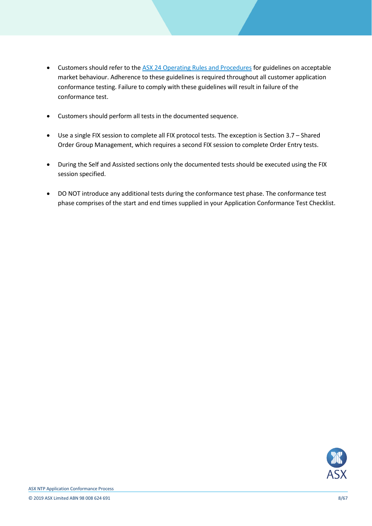- Customers should refer to the [ASX 24 Operating Rules and Procedures](http://www.asx.com.au/regulation/rules/asx-24-operating-rules.htm) for guidelines on acceptable market behaviour. Adherence to these guidelines is required throughout all customer application conformance testing. Failure to comply with these guidelines will result in failure of the conformance test.
- Customers should perform all tests in the documented sequence.
- Use a single FIX session to complete all FIX protocol tests. The exception is Section 3.7 Shared Order Group Management, which requires a second FIX session to complete Order Entry tests.
- During the Self and Assisted sections only the documented tests should be executed using the FIX session specified.
- DO NOT introduce any additional tests during the conformance test phase. The conformance test phase comprises of the start and end times supplied in your Application Conformance Test Checklist.

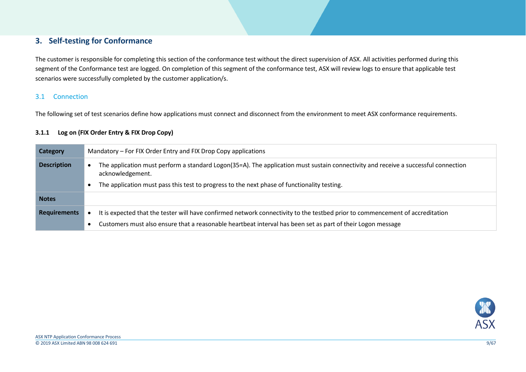# **3. Self-testing for Conformance**

The customer is responsible for completing this section of the conformance test without the direct supervision of ASX. All activities performed during this segment of the Conformance test are logged. On completion of this segment of the conformance test, ASX will review logs to ensure that applicable test scenarios were successfully completed by the customer application/s.

#### 3.1 Connection

The following set of test scenarios define how applications must connect and disconnect from the environment to meet ASX conformance requirements.

#### **3.1.1 Log on (FIX Order Entry & FIX Drop Copy)**

<span id="page-8-2"></span><span id="page-8-1"></span><span id="page-8-0"></span>

| Category            | Mandatory – For FIX Order Entry and FIX Drop Copy applications                                                                                         |  |
|---------------------|--------------------------------------------------------------------------------------------------------------------------------------------------------|--|
| <b>Description</b>  | The application must perform a standard Logon(35=A). The application must sustain connectivity and receive a successful connection<br>acknowledgement. |  |
|                     | The application must pass this test to progress to the next phase of functionality testing.                                                            |  |
| <b>Notes</b>        |                                                                                                                                                        |  |
| <b>Requirements</b> | It is expected that the tester will have confirmed network connectivity to the testbed prior to commencement of accreditation                          |  |
|                     | Customers must also ensure that a reasonable heartbeat interval has been set as part of their Logon message                                            |  |

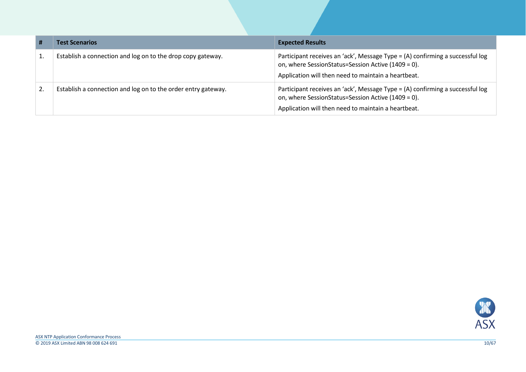| #  | <b>Test Scenarios</b>                                         | <b>Expected Results</b>                                                                                                                                                                    |
|----|---------------------------------------------------------------|--------------------------------------------------------------------------------------------------------------------------------------------------------------------------------------------|
|    | Establish a connection and log on to the drop copy gateway.   | Participant receives an 'ack', Message Type = (A) confirming a successful log<br>on, where SessionStatus=Session Active (1409 = 0).<br>Application will then need to maintain a heartbeat. |
| 2. | Establish a connection and log on to the order entry gateway. | Participant receives an 'ack', Message Type = (A) confirming a successful log<br>on, where SessionStatus=Session Active (1409 = 0).<br>Application will then need to maintain a heartbeat. |

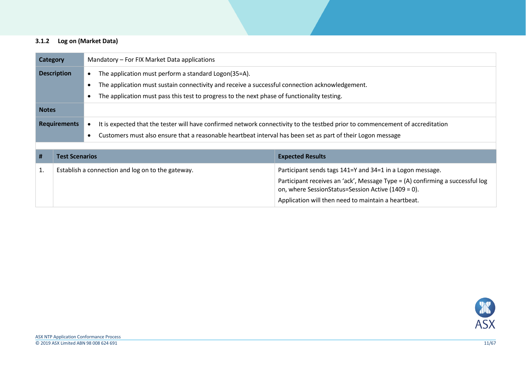#### **3.1.2 Log on (Market Data)**

<span id="page-10-0"></span>

| Category                                                                                       |                                                                                         | Mandatory – For FIX Market Data applications |                                                                                                                               |                                                                                                                                     |  |
|------------------------------------------------------------------------------------------------|-----------------------------------------------------------------------------------------|----------------------------------------------|-------------------------------------------------------------------------------------------------------------------------------|-------------------------------------------------------------------------------------------------------------------------------------|--|
|                                                                                                | <b>Description</b><br>The application must perform a standard Logon(35=A).<br>$\bullet$ |                                              |                                                                                                                               |                                                                                                                                     |  |
| The application must sustain connectivity and receive a successful connection acknowledgement. |                                                                                         |                                              |                                                                                                                               |                                                                                                                                     |  |
|                                                                                                |                                                                                         |                                              | The application must pass this test to progress to the next phase of functionality testing.                                   |                                                                                                                                     |  |
| <b>Notes</b>                                                                                   |                                                                                         |                                              |                                                                                                                               |                                                                                                                                     |  |
|                                                                                                | <b>Requirements</b>                                                                     |                                              | It is expected that the tester will have confirmed network connectivity to the testbed prior to commencement of accreditation |                                                                                                                                     |  |
|                                                                                                |                                                                                         |                                              | Customers must also ensure that a reasonable heartbeat interval has been set as part of their Logon message                   |                                                                                                                                     |  |
|                                                                                                |                                                                                         |                                              |                                                                                                                               |                                                                                                                                     |  |
| #                                                                                              | <b>Test Scenarios</b>                                                                   |                                              |                                                                                                                               | <b>Expected Results</b>                                                                                                             |  |
| 1.                                                                                             | Establish a connection and log on to the gateway.                                       |                                              |                                                                                                                               | Participant sends tags 141=Y and 34=1 in a Logon message.                                                                           |  |
|                                                                                                |                                                                                         |                                              |                                                                                                                               | Participant receives an 'ack', Message Type = (A) confirming a successful log<br>on, where SessionStatus=Session Active (1409 = 0). |  |
|                                                                                                |                                                                                         |                                              |                                                                                                                               | Application will then need to maintain a heartbeat.                                                                                 |  |

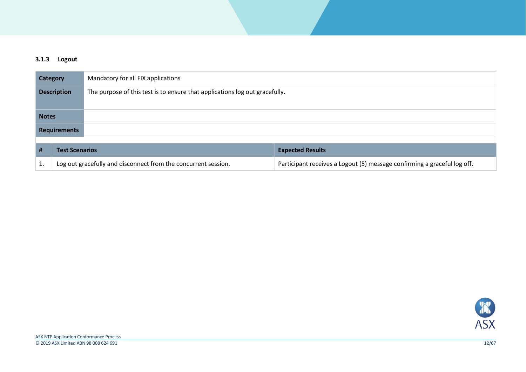#### **3.1.3 Logout**

<span id="page-11-0"></span>

| Mandatory for all FIX applications<br><b>Category</b> |                                                                |                                                                             |                                                                          |  |
|-------------------------------------------------------|----------------------------------------------------------------|-----------------------------------------------------------------------------|--------------------------------------------------------------------------|--|
| <b>Description</b>                                    |                                                                | The purpose of this test is to ensure that applications log out gracefully. |                                                                          |  |
|                                                       |                                                                |                                                                             |                                                                          |  |
| <b>Notes</b>                                          |                                                                |                                                                             |                                                                          |  |
| <b>Requirements</b>                                   |                                                                |                                                                             |                                                                          |  |
|                                                       |                                                                |                                                                             |                                                                          |  |
| #                                                     | <b>Test Scenarios</b>                                          |                                                                             | <b>Expected Results</b>                                                  |  |
| 1.                                                    | Log out gracefully and disconnect from the concurrent session. |                                                                             | Participant receives a Logout (5) message confirming a graceful log off. |  |

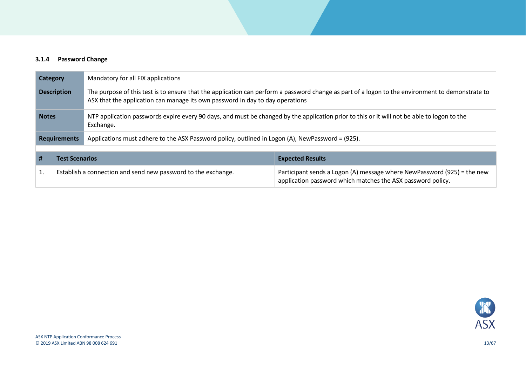#### **3.1.4 Password Change**

<span id="page-12-0"></span>

|                                                                                                     | Mandatory for all FIX applications<br><b>Category</b>         |                                                                                                                                                          |                                                                                                                                                  |  |
|-----------------------------------------------------------------------------------------------------|---------------------------------------------------------------|----------------------------------------------------------------------------------------------------------------------------------------------------------|--------------------------------------------------------------------------------------------------------------------------------------------------|--|
| <b>Description</b><br>ASX that the application can manage its own password in day to day operations |                                                               |                                                                                                                                                          | The purpose of this test is to ensure that the application can perform a password change as part of a logon to the environment to demonstrate to |  |
| <b>Notes</b>                                                                                        |                                                               | NTP application passwords expire every 90 days, and must be changed by the application prior to this or it will not be able to logon to the<br>Exchange. |                                                                                                                                                  |  |
| <b>Requirements</b>                                                                                 |                                                               | Applications must adhere to the ASX Password policy, outlined in Logon (A), NewPassword = (925).                                                         |                                                                                                                                                  |  |
|                                                                                                     |                                                               |                                                                                                                                                          |                                                                                                                                                  |  |
| #                                                                                                   | <b>Test Scenarios</b>                                         |                                                                                                                                                          | <b>Expected Results</b>                                                                                                                          |  |
| 1.                                                                                                  | Establish a connection and send new password to the exchange. |                                                                                                                                                          | Participant sends a Logon (A) message where NewPassword (925) = the new<br>application password which matches the ASX password policy.           |  |

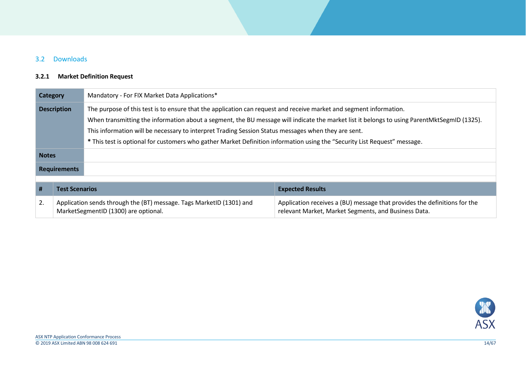## 3.2 Downloads

## **3.2.1 Market Definition Request**

<span id="page-13-1"></span><span id="page-13-0"></span>

| Mandatory - For FIX Market Data Applications*<br><b>Category</b>                                                                            |                                                                                                              |                                                                                                                           |                                                                                                                                   |  |
|---------------------------------------------------------------------------------------------------------------------------------------------|--------------------------------------------------------------------------------------------------------------|---------------------------------------------------------------------------------------------------------------------------|-----------------------------------------------------------------------------------------------------------------------------------|--|
| The purpose of this test is to ensure that the application can request and receive market and segment information.<br><b>Description</b>    |                                                                                                              |                                                                                                                           |                                                                                                                                   |  |
| When transmitting the information about a segment, the BU message will indicate the market list it belongs to using ParentMktSegmID (1325). |                                                                                                              |                                                                                                                           |                                                                                                                                   |  |
|                                                                                                                                             |                                                                                                              | This information will be necessary to interpret Trading Session Status messages when they are sent.                       |                                                                                                                                   |  |
|                                                                                                                                             |                                                                                                              | * This test is optional for customers who gather Market Definition information using the "Security List Request" message. |                                                                                                                                   |  |
| <b>Notes</b>                                                                                                                                |                                                                                                              |                                                                                                                           |                                                                                                                                   |  |
| <b>Requirements</b>                                                                                                                         |                                                                                                              |                                                                                                                           |                                                                                                                                   |  |
|                                                                                                                                             |                                                                                                              |                                                                                                                           |                                                                                                                                   |  |
| #                                                                                                                                           | <b>Test Scenarios</b>                                                                                        |                                                                                                                           | <b>Expected Results</b>                                                                                                           |  |
| 2.                                                                                                                                          | Application sends through the (BT) message. Tags MarketID (1301) and<br>MarketSegmentID (1300) are optional. |                                                                                                                           | Application receives a (BU) message that provides the definitions for the<br>relevant Market, Market Segments, and Business Data. |  |

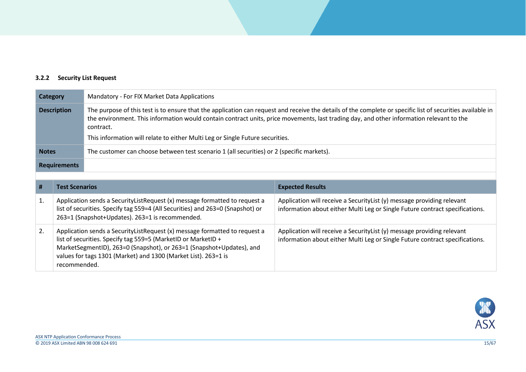## **3.2.2 Security List Request**

<span id="page-14-0"></span>

| Category           |                       | Mandatory - For FIX Market Data Applications                                                                                                                                                                                                                                                                        |                                                                                                                                                        |  |  |
|--------------------|-----------------------|---------------------------------------------------------------------------------------------------------------------------------------------------------------------------------------------------------------------------------------------------------------------------------------------------------------------|--------------------------------------------------------------------------------------------------------------------------------------------------------|--|--|
| <b>Description</b> |                       | The purpose of this test is to ensure that the application can request and receive the details of the complete or specific list of securities available in<br>the environment. This information would contain contract units, price movements, last trading day, and other information relevant to the<br>contract. |                                                                                                                                                        |  |  |
|                    |                       | This information will relate to either Multi Leg or Single Future securities.                                                                                                                                                                                                                                       |                                                                                                                                                        |  |  |
| <b>Notes</b>       |                       | The customer can choose between test scenario 1 (all securities) or 2 (specific markets).                                                                                                                                                                                                                           |                                                                                                                                                        |  |  |
|                    | <b>Requirements</b>   |                                                                                                                                                                                                                                                                                                                     |                                                                                                                                                        |  |  |
|                    |                       |                                                                                                                                                                                                                                                                                                                     |                                                                                                                                                        |  |  |
| #                  | <b>Test Scenarios</b> |                                                                                                                                                                                                                                                                                                                     | <b>Expected Results</b>                                                                                                                                |  |  |
|                    |                       |                                                                                                                                                                                                                                                                                                                     |                                                                                                                                                        |  |  |
| 1.                 |                       | Application sends a SecurityListRequest (x) message formatted to request a<br>list of securities. Specify tag 559=4 (All Securities) and 263=0 (Snapshot) or<br>263=1 (Snapshot+Updates). 263=1 is recommended.                                                                                                     | Application will receive a SecurityList (y) message providing relevant<br>information about either Multi Leg or Single Future contract specifications. |  |  |

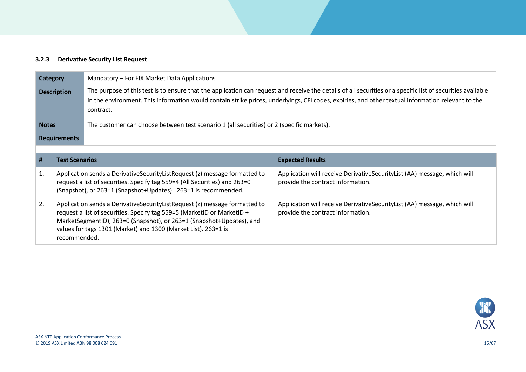#### **3.2.3 Derivative Security List Request**

| <b>Category</b>    |                                                                                                                                                                                                                                                                                                    | Mandatory – For FIX Market Data Applications                                                                                                                                                                                                                                                                                  |                                                                                                               |  |
|--------------------|----------------------------------------------------------------------------------------------------------------------------------------------------------------------------------------------------------------------------------------------------------------------------------------------------|-------------------------------------------------------------------------------------------------------------------------------------------------------------------------------------------------------------------------------------------------------------------------------------------------------------------------------|---------------------------------------------------------------------------------------------------------------|--|
| <b>Description</b> |                                                                                                                                                                                                                                                                                                    | The purpose of this test is to ensure that the application can request and receive the details of all securities or a specific list of securities available<br>in the environment. This information would contain strike prices, underlyings, CFI codes, expiries, and other textual information relevant to the<br>contract. |                                                                                                               |  |
| <b>Notes</b>       |                                                                                                                                                                                                                                                                                                    | The customer can choose between test scenario 1 (all securities) or 2 (specific markets).                                                                                                                                                                                                                                     |                                                                                                               |  |
|                    | <b>Requirements</b>                                                                                                                                                                                                                                                                                |                                                                                                                                                                                                                                                                                                                               |                                                                                                               |  |
|                    |                                                                                                                                                                                                                                                                                                    |                                                                                                                                                                                                                                                                                                                               |                                                                                                               |  |
| #                  | <b>Test Scenarios</b>                                                                                                                                                                                                                                                                              |                                                                                                                                                                                                                                                                                                                               | <b>Expected Results</b>                                                                                       |  |
| 1.                 | Application sends a Derivative Security List Request (z) message formatted to<br>request a list of securities. Specify tag 559=4 (All Securities) and 263=0<br>(Snapshot), or 263=1 (Snapshot+Updates). 263=1 is recommended.                                                                      |                                                                                                                                                                                                                                                                                                                               | Application will receive DerivativeSecurityList (AA) message, which will<br>provide the contract information. |  |
| 2.                 | Application sends a Derivative Security List Request (z) message formatted to<br>request a list of securities. Specify tag 559=5 (MarketID or MarketID +<br>MarketSegmentID), 263=0 (Snapshot), or 263=1 (Snapshot+Updates), and<br>values for tags 1301 (Market) and 1300 (Market List). 263=1 is |                                                                                                                                                                                                                                                                                                                               | Application will receive DerivativeSecurityList (AA) message, which will<br>provide the contract information. |  |



<span id="page-15-0"></span>recommended.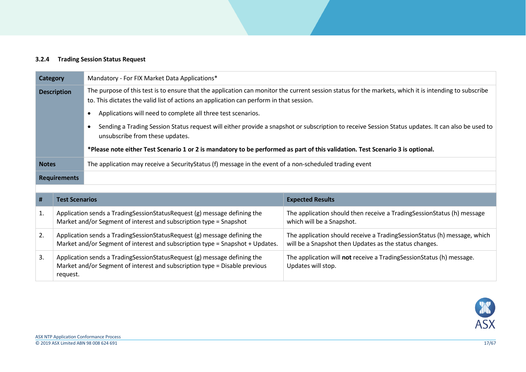#### **3.2.4 Trading Session Status Request**

|                                                                                                                                                                                      | Mandatory - For FIX Market Data Applications*<br>Category                               |                                                                                                                                                   |                                                                                                       |
|--------------------------------------------------------------------------------------------------------------------------------------------------------------------------------------|-----------------------------------------------------------------------------------------|---------------------------------------------------------------------------------------------------------------------------------------------------|-------------------------------------------------------------------------------------------------------|
| The purpose of this test is to ensure that the application can monitor the current session status for the markets, which it is intending to subscribe<br><b>Description</b>          |                                                                                         |                                                                                                                                                   |                                                                                                       |
|                                                                                                                                                                                      | to. This dictates the valid list of actions an application can perform in that session. |                                                                                                                                                   |                                                                                                       |
| Applications will need to complete all three test scenarios.                                                                                                                         |                                                                                         |                                                                                                                                                   |                                                                                                       |
| Sending a Trading Session Status request will either provide a snapshot or subscription to receive Session Status updates. It can also be used to<br>unsubscribe from these updates. |                                                                                         |                                                                                                                                                   |                                                                                                       |
| *Please note either Test Scenario 1 or 2 is mandatory to be performed as part of this validation. Test Scenario 3 is optional.                                                       |                                                                                         |                                                                                                                                                   |                                                                                                       |
| <b>Notes</b>                                                                                                                                                                         |                                                                                         | The application may receive a Security Status (f) message in the event of a non-scheduled trading event                                           |                                                                                                       |
|                                                                                                                                                                                      | <b>Requirements</b>                                                                     |                                                                                                                                                   |                                                                                                       |
|                                                                                                                                                                                      |                                                                                         |                                                                                                                                                   |                                                                                                       |
| #                                                                                                                                                                                    | <b>Test Scenarios</b>                                                                   |                                                                                                                                                   | <b>Expected Results</b>                                                                               |
| 1.                                                                                                                                                                                   |                                                                                         | Application sends a Trading Session Status Request (g) message defining the<br>Market and/or Segment of interest and subscription type = Snapshot | The application should then receive a Trading Session Status (h) message<br>which will be a Snapshot. |



The application should receive a TradingSessionStatus (h) message, which

The application will **not** receive a TradingSessionStatus (h) message.

will be a Snapshot then Updates as the status changes.

Updates will stop.

request.

<span id="page-16-0"></span>2. Application sends a TradingSessionStatusRequest (g) message defining the

3. Application sends a TradingSessionStatusRequest (g) message defining the

Market and/or Segment of interest and subscription type = Snapshot + Updates.

Market and/or Segment of interest and subscription type = Disable previous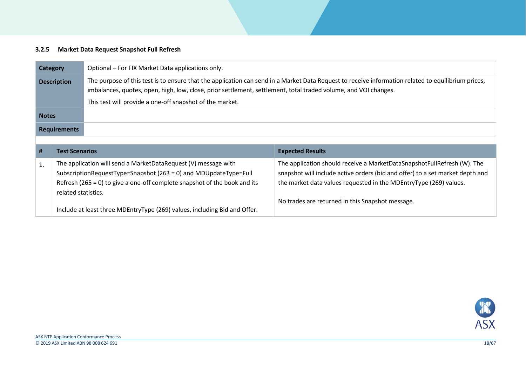# **3.2.5 Market Data Request Snapshot Full Refresh**

<span id="page-17-0"></span>

| <b>Category</b>    |                                                                                                                                    | Optional – For FIX Market Data applications only.                                                               |                                                                                                                                                          |  |
|--------------------|------------------------------------------------------------------------------------------------------------------------------------|-----------------------------------------------------------------------------------------------------------------|----------------------------------------------------------------------------------------------------------------------------------------------------------|--|
| <b>Description</b> |                                                                                                                                    | imbalances, quotes, open, high, low, close, prior settlement, settlement, total traded volume, and VOI changes. | The purpose of this test is to ensure that the application can send in a Market Data Request to receive information related to equilibrium prices,       |  |
|                    |                                                                                                                                    | This test will provide a one-off snapshot of the market.                                                        |                                                                                                                                                          |  |
| <b>Notes</b>       |                                                                                                                                    |                                                                                                                 |                                                                                                                                                          |  |
|                    | <b>Requirements</b>                                                                                                                |                                                                                                                 |                                                                                                                                                          |  |
|                    |                                                                                                                                    |                                                                                                                 |                                                                                                                                                          |  |
| #                  | <b>Test Scenarios</b>                                                                                                              |                                                                                                                 | <b>Expected Results</b>                                                                                                                                  |  |
| 1.                 | The application will send a MarketDataRequest (V) message with<br>SubscriptionRequestType=Snapshot (263 = 0) and MDUpdateType=Full |                                                                                                                 | The application should receive a MarketDataSnapshotFullRefresh (W). The<br>snapshot will include active orders (bid and offer) to a set market depth and |  |
|                    | Refresh (265 = 0) to give a one-off complete snapshot of the book and its<br>related statistics.                                   |                                                                                                                 | the market data values requested in the MDEntryType (269) values.                                                                                        |  |
|                    | Include at least three MDEntryType (269) values, including Bid and Offer.                                                          |                                                                                                                 | No trades are returned in this Snapshot message.                                                                                                         |  |

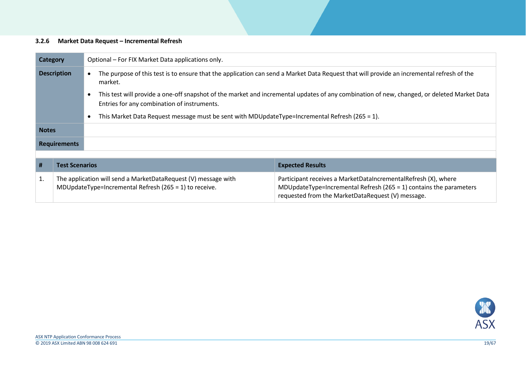#### **3.2.6 Market Data Request – Incremental Refresh**

<span id="page-18-0"></span>

|                     | Optional – For FIX Market Data applications only.<br><b>Category</b>                                                                                                                      |  |                                                                                                                          |                                                                                                                                                                                               |  |
|---------------------|-------------------------------------------------------------------------------------------------------------------------------------------------------------------------------------------|--|--------------------------------------------------------------------------------------------------------------------------|-----------------------------------------------------------------------------------------------------------------------------------------------------------------------------------------------|--|
|                     | <b>Description</b><br>The purpose of this test is to ensure that the application can send a Market Data Request that will provide an incremental refresh of the<br>market.                |  |                                                                                                                          |                                                                                                                                                                                               |  |
|                     | This test will provide a one-off snapshot of the market and incremental updates of any combination of new, changed, or deleted Market Data<br>Entries for any combination of instruments. |  |                                                                                                                          |                                                                                                                                                                                               |  |
|                     |                                                                                                                                                                                           |  | This Market Data Request message must be sent with MDUpdateType=Incremental Refresh (265 = 1).                           |                                                                                                                                                                                               |  |
| <b>Notes</b>        |                                                                                                                                                                                           |  |                                                                                                                          |                                                                                                                                                                                               |  |
| <b>Requirements</b> |                                                                                                                                                                                           |  |                                                                                                                          |                                                                                                                                                                                               |  |
|                     |                                                                                                                                                                                           |  |                                                                                                                          |                                                                                                                                                                                               |  |
| #                   | <b>Test Scenarios</b>                                                                                                                                                                     |  |                                                                                                                          | <b>Expected Results</b>                                                                                                                                                                       |  |
| 1.                  |                                                                                                                                                                                           |  | The application will send a MarketDataRequest (V) message with<br>MDUpdateType=Incremental Refresh (265 = 1) to receive. | Participant receives a MarketDataIncrementalRefresh (X), where<br>MDUpdateType=Incremental Refresh ( $265 = 1$ ) contains the parameters<br>requested from the MarketDataRequest (V) message. |  |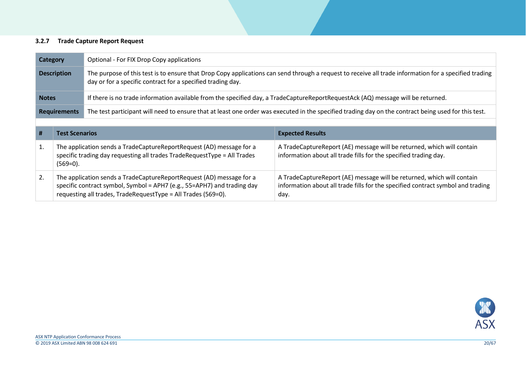#### **3.2.7 Trade Capture Report Request**

| Category            | Optional - For FIX Drop Copy applications                                                                                                                                                                            |
|---------------------|----------------------------------------------------------------------------------------------------------------------------------------------------------------------------------------------------------------------|
| <b>Description</b>  | The purpose of this test is to ensure that Drop Copy applications can send through a request to receive all trade information for a specified trading<br>day or for a specific contract for a specified trading day. |
| <b>Notes</b>        | If there is no trade information available from the specified day, a TradeCaptureReportRequestAck (AQ) message will be returned.                                                                                     |
| <b>Requirements</b> | The test participant will need to ensure that at least one order was executed in the specified trading day on the contract being used for this test.                                                                 |

<span id="page-19-0"></span>

| #  | <b>Test Scenarios</b>                                                                                                                                                                                            | <b>Expected Results</b>                                                                                                                                           |
|----|------------------------------------------------------------------------------------------------------------------------------------------------------------------------------------------------------------------|-------------------------------------------------------------------------------------------------------------------------------------------------------------------|
|    | The application sends a TradeCaptureReportRequest (AD) message for a<br>specific trading day requesting all trades TradeRequestType = All Trades<br>$(569=0).$                                                   | A TradeCaptureReport (AE) message will be returned, which will contain<br>information about all trade fills for the specified trading day.                        |
| 2. | The application sends a TradeCaptureReportRequest (AD) message for a<br>specific contract symbol, Symbol = APH7 (e.g., 55=APH7) and trading day<br>requesting all trades, TradeRequestType = All Trades (569=0). | A TradeCaptureReport (AE) message will be returned, which will contain<br>information about all trade fills for the specified contract symbol and trading<br>day. |

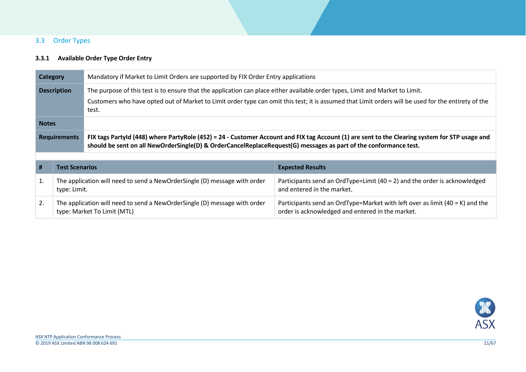## 3.3 Order Types

## **3.3.1 Available Order Type Order Entry**

<span id="page-20-1"></span><span id="page-20-0"></span>

| Mandatory if Market to Limit Orders are supported by FIX Order Entry applications<br>Category |                                                                                           |                                                                                                                                                                                                                                                                                               |                                                                                                                                    |  |
|-----------------------------------------------------------------------------------------------|-------------------------------------------------------------------------------------------|-----------------------------------------------------------------------------------------------------------------------------------------------------------------------------------------------------------------------------------------------------------------------------------------------|------------------------------------------------------------------------------------------------------------------------------------|--|
| <b>Description</b>                                                                            |                                                                                           | The purpose of this test is to ensure that the application can place either available order types, Limit and Market to Limit.<br>Customers who have opted out of Market to Limit order type can omit this test; it is assumed that Limit orders will be used for the entirety of the<br>test. |                                                                                                                                    |  |
| <b>Notes</b>                                                                                  |                                                                                           |                                                                                                                                                                                                                                                                                               |                                                                                                                                    |  |
| <b>Requirements</b>                                                                           |                                                                                           | FIX tags Partyld (448) where PartyRole (452) = 24 - Customer Account and FIX tag Account (1) are sent to the Clearing system for STP usage and<br>should be sent on all NewOrderSingle(D) & OrderCancelReplaceRequest(G) messages as part of the conformance test.                            |                                                                                                                                    |  |
|                                                                                               |                                                                                           |                                                                                                                                                                                                                                                                                               |                                                                                                                                    |  |
| #                                                                                             | <b>Test Scenarios</b>                                                                     |                                                                                                                                                                                                                                                                                               | <b>Expected Results</b>                                                                                                            |  |
| 1.                                                                                            | The application will need to send a NewOrderSingle (D) message with order<br>type: Limit. |                                                                                                                                                                                                                                                                                               | Participants send an OrdType=Limit $(40 = 2)$ and the order is acknowledged<br>and entered in the market.                          |  |
| 2.                                                                                            |                                                                                           | The application will need to send a NewOrderSingle (D) message with order<br>type: Market To Limit (MTL)                                                                                                                                                                                      | Participants send an OrdType=Market with left over as limit $(40 = K)$ and the<br>order is acknowledged and entered in the market. |  |

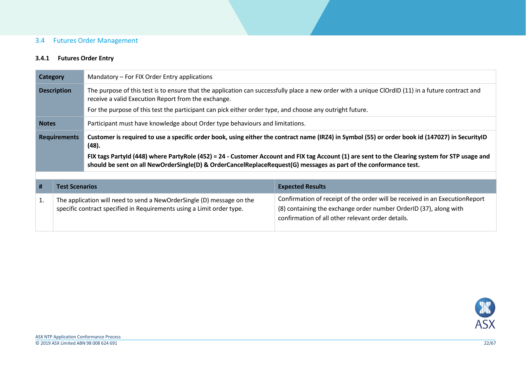## 3.4 Futures Order Management

## <span id="page-21-2"></span>**3.4.1 Futures Order Entry**

<span id="page-21-1"></span><span id="page-21-0"></span>

| Mandatory – For FIX Order Entry applications<br>Category |                       |                                                                                                                                                                                                                                                                                                                                                                                                                                |                         |
|----------------------------------------------------------|-----------------------|--------------------------------------------------------------------------------------------------------------------------------------------------------------------------------------------------------------------------------------------------------------------------------------------------------------------------------------------------------------------------------------------------------------------------------|-------------------------|
| <b>Description</b>                                       |                       | The purpose of this test is to ensure that the application can successfully place a new order with a unique ClOrdID (11) in a future contract and<br>receive a valid Execution Report from the exchange.<br>For the purpose of this test the participant can pick either order type, and choose any outright future.                                                                                                           |                         |
| <b>Notes</b>                                             |                       | Participant must have knowledge about Order type behaviours and limitations.                                                                                                                                                                                                                                                                                                                                                   |                         |
| <b>Requirements</b>                                      |                       | Customer is required to use a specific order book, using either the contract name (IRZ4) in Symbol (55) or order book id (147027) in SecurityID<br>(48).<br>FIX tags Partyld (448) where PartyRole (452) = 24 - Customer Account and FIX tag Account (1) are sent to the Clearing system for STP usage and<br>should be sent on all NewOrderSingle(D) & OrderCancelReplaceRequest(G) messages as part of the conformance test. |                         |
|                                                          |                       |                                                                                                                                                                                                                                                                                                                                                                                                                                |                         |
|                                                          |                       |                                                                                                                                                                                                                                                                                                                                                                                                                                |                         |
| #                                                        | <b>Test Scenarios</b> |                                                                                                                                                                                                                                                                                                                                                                                                                                | <b>Expected Results</b> |

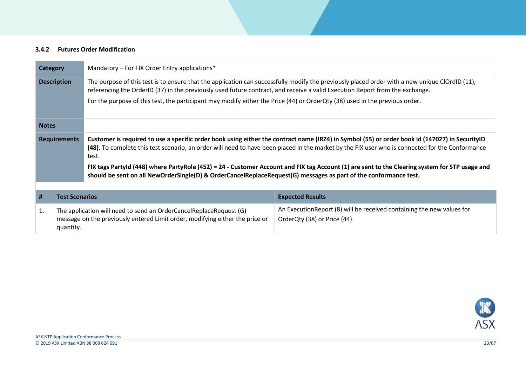#### **3.4.2 Futures Order Modification**

<span id="page-22-0"></span>

| <b>Category</b>     |                       | Mandatory – For FIX Order Entry applications*                                                                                                                                                                                                                                                                                                                                                                                                                |                                                                                                                                                |
|---------------------|-----------------------|--------------------------------------------------------------------------------------------------------------------------------------------------------------------------------------------------------------------------------------------------------------------------------------------------------------------------------------------------------------------------------------------------------------------------------------------------------------|------------------------------------------------------------------------------------------------------------------------------------------------|
| <b>Description</b>  |                       | referencing the OrderID (37) in the previously used future contract, and receive a valid Execution Report from the exchange.                                                                                                                                                                                                                                                                                                                                 | The purpose of this test is to ensure that the application can successfully modify the previously placed order with a new unique ClOrdID (11), |
|                     |                       | For the purpose of this test, the participant may modify either the Price (44) or OrderQty (38) used in the previous order.                                                                                                                                                                                                                                                                                                                                  |                                                                                                                                                |
| <b>Notes</b>        |                       |                                                                                                                                                                                                                                                                                                                                                                                                                                                              |                                                                                                                                                |
| <b>Requirements</b> |                       | Customer is required to use a specific order book using either the contract name (IRZ4) in Symbol (55) or order book id (147027) in SecurityID<br>(48). To complete this test scenario, an order will need to have been placed in the market by the FIX user who is connected for the Conformance<br>test.<br>FIX tags PartyId (448) where PartyRole (452) = 24 - Customer Account and FIX tag Account (1) are sent to the Clearing system for STP usage and |                                                                                                                                                |
|                     |                       | should be sent on all NewOrderSingle(D) & OrderCancelReplaceRequest(G) messages as part of the conformance test.                                                                                                                                                                                                                                                                                                                                             |                                                                                                                                                |
| #                   | <b>Test Scenarios</b> |                                                                                                                                                                                                                                                                                                                                                                                                                                                              | <b>Expected Results</b>                                                                                                                        |
| 1.<br>quantity.     |                       | The application will need to send an OrderCancelReplaceRequest (G)<br>message on the previously entered Limit order, modifying either the price or                                                                                                                                                                                                                                                                                                           | An Execution Report (8) will be received containing the new values for<br>OrderQty (38) or Price (44).                                         |

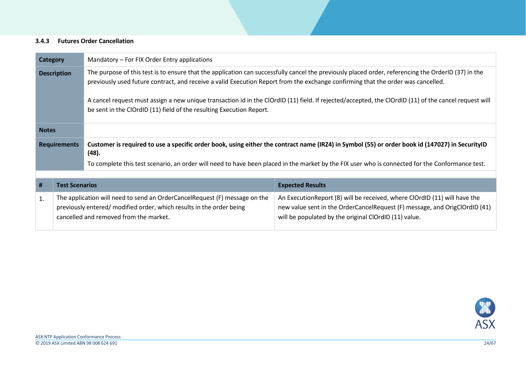#### **3.4.3 Futures Order Cancellation**

<span id="page-23-0"></span>

| <b>Category</b>                                                                                                                                                                                                                                                                                               |                       | Mandatory – For FIX Order Entry applications                                                                                                                                                                                  |                                                                                                                                                                                                                   |  |
|---------------------------------------------------------------------------------------------------------------------------------------------------------------------------------------------------------------------------------------------------------------------------------------------------------------|-----------------------|-------------------------------------------------------------------------------------------------------------------------------------------------------------------------------------------------------------------------------|-------------------------------------------------------------------------------------------------------------------------------------------------------------------------------------------------------------------|--|
| The purpose of this test is to ensure that the application can successfully cancel the previously placed order, referencing the OrderID (37) in the<br><b>Description</b><br>previously used future contract, and receive a valid Execution Report from the exchange confirming that the order was cancelled. |                       |                                                                                                                                                                                                                               |                                                                                                                                                                                                                   |  |
|                                                                                                                                                                                                                                                                                                               |                       | A cancel request must assign a new unique transaction id in the ClOrdID (11) field. If rejected/accepted, the ClOrdID (11) of the cancel request will<br>be sent in the ClOrdID (11) field of the resulting Execution Report. |                                                                                                                                                                                                                   |  |
| <b>Notes</b>                                                                                                                                                                                                                                                                                                  |                       |                                                                                                                                                                                                                               |                                                                                                                                                                                                                   |  |
|                                                                                                                                                                                                                                                                                                               | <b>Requirements</b>   | Customer is required to use a specific order book, using either the contract name (IRZ4) in Symbol (55) or order book id (147027) in SecurityID<br>(48).                                                                      |                                                                                                                                                                                                                   |  |
|                                                                                                                                                                                                                                                                                                               |                       | To complete this test scenario, an order will need to have been placed in the market by the FIX user who is connected for the Conformance test.                                                                               |                                                                                                                                                                                                                   |  |
|                                                                                                                                                                                                                                                                                                               |                       |                                                                                                                                                                                                                               |                                                                                                                                                                                                                   |  |
| #                                                                                                                                                                                                                                                                                                             | <b>Test Scenarios</b> |                                                                                                                                                                                                                               | <b>Expected Results</b>                                                                                                                                                                                           |  |
| 1.                                                                                                                                                                                                                                                                                                            |                       | The application will need to send an OrderCancelRequest (F) message on the<br>previously entered/ modified order, which results in the order being<br>cancelled and removed from the market.                                  | An Execution Report (8) will be received, where ClOrdID (11) will have the<br>new value sent in the OrderCancelRequest (F) message, and OrigClOrdID (41)<br>will be populated by the original ClOrdID (11) value. |  |

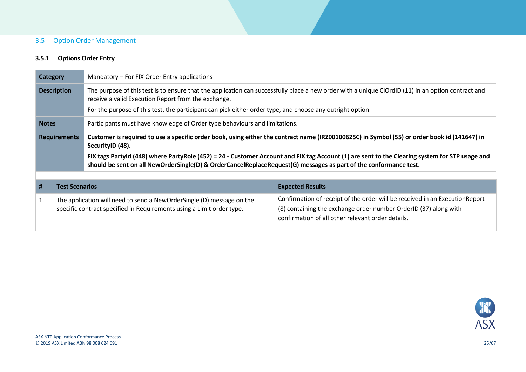## 3.5 Option Order Management

## **3.5.1 Options Order Entry**

<span id="page-24-1"></span><span id="page-24-0"></span>

|                     | Mandatory – For FIX Order Entry applications<br>Category |                                                                                                                                                                                                                                                                                                                                                                                                                                        |                         |
|---------------------|----------------------------------------------------------|----------------------------------------------------------------------------------------------------------------------------------------------------------------------------------------------------------------------------------------------------------------------------------------------------------------------------------------------------------------------------------------------------------------------------------------|-------------------------|
| <b>Description</b>  |                                                          | The purpose of this test is to ensure that the application can successfully place a new order with a unique ClOrdID (11) in an option contract and<br>receive a valid Execution Report from the exchange.<br>For the purpose of this test, the participant can pick either order type, and choose any outright option.                                                                                                                 |                         |
| <b>Notes</b>        |                                                          | Participants must have knowledge of Order type behaviours and limitations.                                                                                                                                                                                                                                                                                                                                                             |                         |
| <b>Requirements</b> |                                                          | Customer is required to use a specific order book, using either the contract name (IRZ00100625C) in Symbol (55) or order book id (141647) in<br>SecurityID (48).<br>FIX tags Partyld (448) where PartyRole (452) = 24 - Customer Account and FIX tag Account (1) are sent to the Clearing system for STP usage and<br>should be sent on all NewOrderSingle(D) & OrderCancelReplaceRequest(G) messages as part of the conformance test. |                         |
|                     |                                                          |                                                                                                                                                                                                                                                                                                                                                                                                                                        |                         |
|                     |                                                          |                                                                                                                                                                                                                                                                                                                                                                                                                                        |                         |
| #                   | <b>Test Scenarios</b>                                    |                                                                                                                                                                                                                                                                                                                                                                                                                                        | <b>Expected Results</b> |

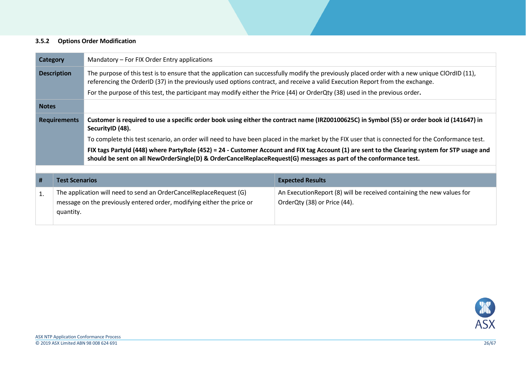#### **3.5.2 Options Order Modification**

<span id="page-25-0"></span>

| <b>Category</b><br>Mandatory – For FIX Order Entry applications                                                                                                 |                       |                                                                                                                                                                                                                                                                                 |                                                                                                                                             |  |
|-----------------------------------------------------------------------------------------------------------------------------------------------------------------|-----------------------|---------------------------------------------------------------------------------------------------------------------------------------------------------------------------------------------------------------------------------------------------------------------------------|---------------------------------------------------------------------------------------------------------------------------------------------|--|
| <b>Description</b>                                                                                                                                              |                       | The purpose of this test is to ensure that the application can successfully modify the previously placed order with a new unique ClOrdID (11),<br>referencing the OrderID (37) in the previously used options contract, and receive a valid Execution Report from the exchange. |                                                                                                                                             |  |
|                                                                                                                                                                 |                       | For the purpose of this test, the participant may modify either the Price (44) or OrderQty (38) used in the previous order.                                                                                                                                                     |                                                                                                                                             |  |
| <b>Notes</b>                                                                                                                                                    |                       |                                                                                                                                                                                                                                                                                 |                                                                                                                                             |  |
| <b>Requirements</b>                                                                                                                                             |                       | SecurityID (48).                                                                                                                                                                                                                                                                | Customer is required to use a specific order book using either the contract name (IRZ00100625C) in Symbol (55) or order book id (141647) in |  |
|                                                                                                                                                                 |                       | To complete this test scenario, an order will need to have been placed in the market by the FIX user that is connected for the Conformance test.                                                                                                                                |                                                                                                                                             |  |
|                                                                                                                                                                 |                       | FIX tags Partyld (448) where PartyRole (452) = 24 - Customer Account and FIX tag Account (1) are sent to the Clearing system for STP usage and<br>should be sent on all NewOrderSingle(D) & OrderCancelReplaceRequest(G) messages as part of the conformance test.              |                                                                                                                                             |  |
|                                                                                                                                                                 |                       |                                                                                                                                                                                                                                                                                 |                                                                                                                                             |  |
| #                                                                                                                                                               | <b>Test Scenarios</b> |                                                                                                                                                                                                                                                                                 | <b>Expected Results</b>                                                                                                                     |  |
| The application will need to send an OrderCancelReplaceRequest (G)<br>1.<br>message on the previously entered order, modifying either the price or<br>quantity. |                       |                                                                                                                                                                                                                                                                                 | An Execution Report (8) will be received containing the new values for<br>OrderQty (38) or Price (44).                                      |  |

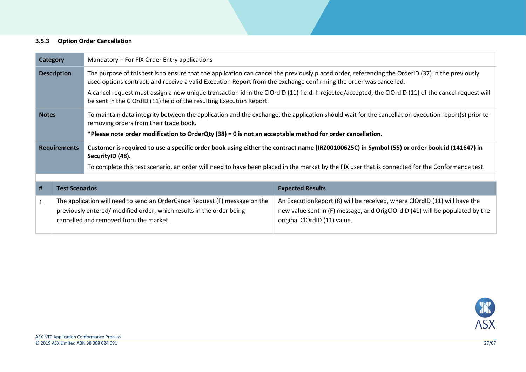#### **3.5.3 Option Order Cancellation**

<span id="page-26-0"></span>

| Category                                                                                                                                                                                                                                                                                                                                                                                                                                                                                                                      |                                                                                                                                                                                              | Mandatory – For FIX Order Entry applications                                                                                                                                                 |                                                                                                                                                                                            |  |
|-------------------------------------------------------------------------------------------------------------------------------------------------------------------------------------------------------------------------------------------------------------------------------------------------------------------------------------------------------------------------------------------------------------------------------------------------------------------------------------------------------------------------------|----------------------------------------------------------------------------------------------------------------------------------------------------------------------------------------------|----------------------------------------------------------------------------------------------------------------------------------------------------------------------------------------------|--------------------------------------------------------------------------------------------------------------------------------------------------------------------------------------------|--|
| The purpose of this test is to ensure that the application can cancel the previously placed order, referencing the OrderID (37) in the previously<br><b>Description</b><br>used options contract, and receive a valid Execution Report from the exchange confirming the order was cancelled.<br>A cancel request must assign a new unique transaction id in the ClOrdID (11) field. If rejected/accepted, the ClOrdID (11) of the cancel request will<br>be sent in the ClOrdID (11) field of the resulting Execution Report. |                                                                                                                                                                                              |                                                                                                                                                                                              |                                                                                                                                                                                            |  |
| <b>Notes</b>                                                                                                                                                                                                                                                                                                                                                                                                                                                                                                                  |                                                                                                                                                                                              | To maintain data integrity between the application and the exchange, the application should wait for the cancellation execution report(s) prior to<br>removing orders from their trade book. |                                                                                                                                                                                            |  |
|                                                                                                                                                                                                                                                                                                                                                                                                                                                                                                                               |                                                                                                                                                                                              | *Please note order modification to OrderQty (38) = 0 is not an acceptable method for order cancellation.                                                                                     |                                                                                                                                                                                            |  |
|                                                                                                                                                                                                                                                                                                                                                                                                                                                                                                                               | <b>Requirements</b>                                                                                                                                                                          | Customer is required to use a specific order book using either the contract name (IRZ00100625C) in Symbol (55) or order book id (141647) in<br>SecurityID (48).                              |                                                                                                                                                                                            |  |
|                                                                                                                                                                                                                                                                                                                                                                                                                                                                                                                               |                                                                                                                                                                                              | To complete this test scenario, an order will need to have been placed in the market by the FIX user that is connected for the Conformance test.                                             |                                                                                                                                                                                            |  |
|                                                                                                                                                                                                                                                                                                                                                                                                                                                                                                                               |                                                                                                                                                                                              |                                                                                                                                                                                              |                                                                                                                                                                                            |  |
| #                                                                                                                                                                                                                                                                                                                                                                                                                                                                                                                             | <b>Test Scenarios</b>                                                                                                                                                                        |                                                                                                                                                                                              | <b>Expected Results</b>                                                                                                                                                                    |  |
| 1.                                                                                                                                                                                                                                                                                                                                                                                                                                                                                                                            | The application will need to send an OrderCancelRequest (F) message on the<br>previously entered/ modified order, which results in the order being<br>cancelled and removed from the market. |                                                                                                                                                                                              | An Execution Report (8) will be received, where ClOrdID (11) will have the<br>new value sent in (F) message, and OrigClOrdID (41) will be populated by the<br>original ClOrdID (11) value. |  |

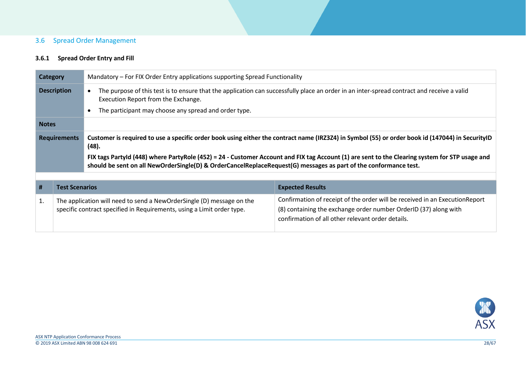## 3.6 Spread Order Management

#### **3.6.1 Spread Order Entry and Fill**

<span id="page-27-1"></span><span id="page-27-0"></span>

|                     | <b>Category</b>       | Mandatory – For FIX Order Entry applications supporting Spread Functionality                                                                                                                                                                                                                                                                                                                                                    |                         |  |
|---------------------|-----------------------|---------------------------------------------------------------------------------------------------------------------------------------------------------------------------------------------------------------------------------------------------------------------------------------------------------------------------------------------------------------------------------------------------------------------------------|-------------------------|--|
|                     | <b>Description</b>    | The purpose of this test is to ensure that the application can successfully place an order in an inter-spread contract and receive a valid<br>Execution Report from the Exchange.<br>The participant may choose any spread and order type.                                                                                                                                                                                      |                         |  |
| <b>Notes</b>        |                       |                                                                                                                                                                                                                                                                                                                                                                                                                                 |                         |  |
| <b>Requirements</b> |                       | Customer is required to use a specific order book using either the contract name (IRZ3Z4) in Symbol (55) or order book id (147044) in SecurityID<br>(48).<br>FIX tags Partyld (448) where PartyRole (452) = 24 - Customer Account and FIX tag Account (1) are sent to the Clearing system for STP usage and<br>should be sent on all NewOrderSingle(D) & OrderCancelReplaceRequest(G) messages as part of the conformance test. |                         |  |
|                     |                       |                                                                                                                                                                                                                                                                                                                                                                                                                                 |                         |  |
|                     |                       |                                                                                                                                                                                                                                                                                                                                                                                                                                 |                         |  |
| #                   | <b>Test Scenarios</b> |                                                                                                                                                                                                                                                                                                                                                                                                                                 | <b>Expected Results</b> |  |

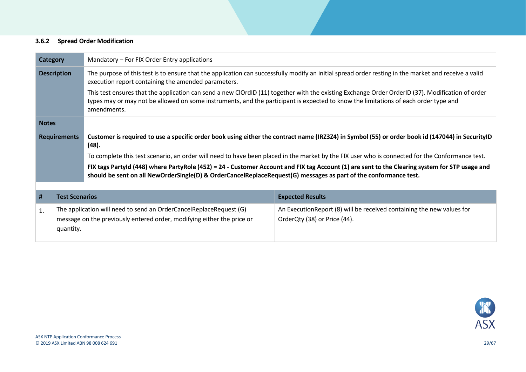#### **3.6.2 Spread Order Modification**

<span id="page-28-0"></span>

| Mandatory – For FIX Order Entry applications<br><b>Category</b> |                                                                                                                                                    |                                                                                                                                                                                                                                                                    |                                                                                                                                                  |  |
|-----------------------------------------------------------------|----------------------------------------------------------------------------------------------------------------------------------------------------|--------------------------------------------------------------------------------------------------------------------------------------------------------------------------------------------------------------------------------------------------------------------|--------------------------------------------------------------------------------------------------------------------------------------------------|--|
| <b>Description</b>                                              |                                                                                                                                                    | The purpose of this test is to ensure that the application can successfully modify an initial spread order resting in the market and receive a valid<br>execution report containing the amended parameters.                                                        |                                                                                                                                                  |  |
|                                                                 | types may or may not be allowed on some instruments, and the participant is expected to know the limitations of each order type and<br>amendments. |                                                                                                                                                                                                                                                                    | This test ensures that the application can send a new ClOrdID (11) together with the existing Exchange Order OrderID (37). Modification of order |  |
| <b>Notes</b>                                                    |                                                                                                                                                    |                                                                                                                                                                                                                                                                    |                                                                                                                                                  |  |
|                                                                 | <b>Requirements</b>                                                                                                                                | Customer is required to use a specific order book using either the contract name (IRZ3Z4) in Symbol (55) or order book id (147044) in SecurityID<br>(48).                                                                                                          |                                                                                                                                                  |  |
|                                                                 |                                                                                                                                                    | To complete this test scenario, an order will need to have been placed in the market by the FIX user who is connected for the Conformance test.                                                                                                                    |                                                                                                                                                  |  |
|                                                                 |                                                                                                                                                    | FIX tags Partyld (448) where PartyRole (452) = 24 - Customer Account and FIX tag Account (1) are sent to the Clearing system for STP usage and<br>should be sent on all NewOrderSingle(D) & OrderCancelReplaceRequest(G) messages as part of the conformance test. |                                                                                                                                                  |  |
|                                                                 |                                                                                                                                                    |                                                                                                                                                                                                                                                                    |                                                                                                                                                  |  |
| #                                                               | <b>Test Scenarios</b>                                                                                                                              |                                                                                                                                                                                                                                                                    | <b>Expected Results</b>                                                                                                                          |  |
| 1.                                                              | quantity.                                                                                                                                          | The application will need to send an OrderCancelReplaceRequest (G)<br>message on the previously entered order, modifying either the price or                                                                                                                       | An ExecutionReport (8) will be received containing the new values for<br>OrderQty (38) or Price (44).                                            |  |
|                                                                 |                                                                                                                                                    |                                                                                                                                                                                                                                                                    |                                                                                                                                                  |  |

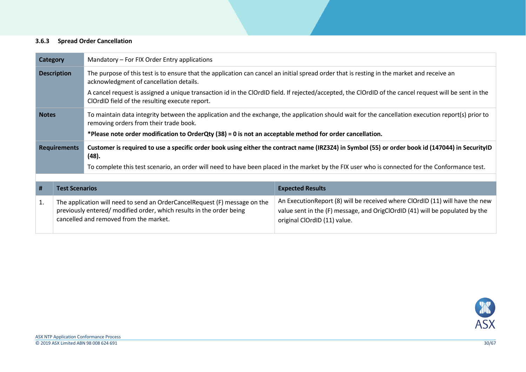#### **3.6.3 Spread Order Cancellation**

<span id="page-29-0"></span>

| <b>Category</b> |                       | Mandatory – For FIX Order Entry applications                                                                                                                                                                                                                                                                                                    |                                                                                                                                                                                               |  |
|-----------------|-----------------------|-------------------------------------------------------------------------------------------------------------------------------------------------------------------------------------------------------------------------------------------------------------------------------------------------------------------------------------------------|-----------------------------------------------------------------------------------------------------------------------------------------------------------------------------------------------|--|
|                 | <b>Description</b>    | The purpose of this test is to ensure that the application can cancel an initial spread order that is resting in the market and receive an<br>acknowledgment of cancellation details.<br>A cancel request is assigned a unique transaction id in the ClOrdID field. If rejected/accepted, the ClOrdID of the cancel request will be sent in the |                                                                                                                                                                                               |  |
|                 |                       | ClOrdID field of the resulting execute report.                                                                                                                                                                                                                                                                                                  |                                                                                                                                                                                               |  |
| <b>Notes</b>    |                       | removing orders from their trade book.                                                                                                                                                                                                                                                                                                          | To maintain data integrity between the application and the exchange, the application should wait for the cancellation execution report(s) prior to                                            |  |
|                 |                       | *Please note order modification to OrderQty (38) = 0 is not an acceptable method for order cancellation.                                                                                                                                                                                                                                        |                                                                                                                                                                                               |  |
|                 | <b>Requirements</b>   | Customer is required to use a specific order book using either the contract name (IRZ3Z4) in Symbol (55) or order book id (147044) in SecurityID<br>(48).                                                                                                                                                                                       |                                                                                                                                                                                               |  |
|                 |                       | To complete this test scenario, an order will need to have been placed in the market by the FIX user who is connected for the Conformance test.                                                                                                                                                                                                 |                                                                                                                                                                                               |  |
|                 |                       |                                                                                                                                                                                                                                                                                                                                                 |                                                                                                                                                                                               |  |
| #               | <b>Test Scenarios</b> |                                                                                                                                                                                                                                                                                                                                                 | <b>Expected Results</b>                                                                                                                                                                       |  |
| 1.              |                       | The application will need to send an OrderCancelRequest (F) message on the<br>previously entered/ modified order, which results in the order being<br>cancelled and removed from the market.                                                                                                                                                    | An Execution Report (8) will be received where ClOrdID (11) will have the new<br>value sent in the (F) message, and OrigClOrdID (41) will be populated by the<br>original ClOrdID (11) value. |  |

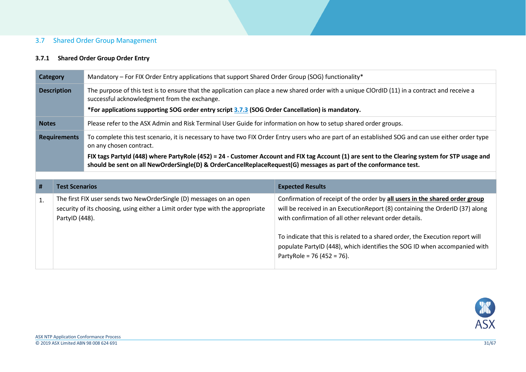#### 3.7 Shared Order Group Management

## <span id="page-30-2"></span>**3.7.1 Shared Order Group Order Entry**

<span id="page-30-1"></span><span id="page-30-0"></span>

|              | <b>Category</b>       | Mandatory – For FIX Order Entry applications that support Shared Order Group (SOG) functionality*                |                                                                                                                                                    |
|--------------|-----------------------|------------------------------------------------------------------------------------------------------------------|----------------------------------------------------------------------------------------------------------------------------------------------------|
|              | <b>Description</b>    | successful acknowledgment from the exchange.                                                                     | The purpose of this test is to ensure that the application can place a new shared order with a unique ClOrdID (11) in a contract and receive a     |
|              |                       | *For applications supporting SOG order entry script 3.7.3 (SOG Order Cancellation) is mandatory.                 |                                                                                                                                                    |
| <b>Notes</b> |                       | Please refer to the ASX Admin and Risk Terminal User Guide for information on how to setup shared order groups.  |                                                                                                                                                    |
|              | <b>Requirements</b>   | on any chosen contract.                                                                                          | To complete this test scenario, it is necessary to have two FIX Order Entry users who are part of an established SOG and can use either order type |
|              |                       | should be sent on all NewOrderSingle(D) & OrderCancelReplaceRequest(G) messages as part of the conformance test. | FIX tags Partyld (448) where PartyRole (452) = 24 - Customer Account and FIX tag Account (1) are sent to the Clearing system for STP usage and     |
|              |                       |                                                                                                                  |                                                                                                                                                    |
|              |                       |                                                                                                                  |                                                                                                                                                    |
| #            | <b>Test Scenarios</b> |                                                                                                                  | <b>Expected Results</b>                                                                                                                            |

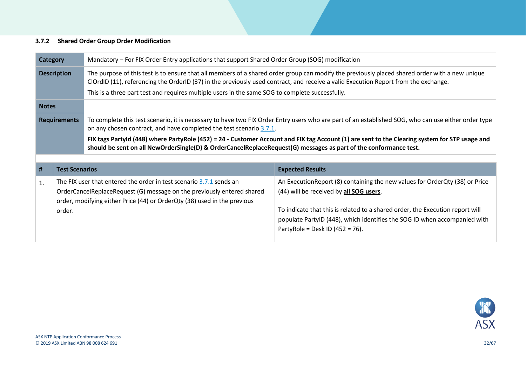#### **3.7.2 Shared Order Group Order Modification**

<span id="page-31-0"></span>

| Category           |                       | Mandatory - For FIX Order Entry applications that support Shared Order Group (SOG) modification                                                                                                                                                                                       |                                                                                                                                                                                                                                                                                                                            |  |
|--------------------|-----------------------|---------------------------------------------------------------------------------------------------------------------------------------------------------------------------------------------------------------------------------------------------------------------------------------|----------------------------------------------------------------------------------------------------------------------------------------------------------------------------------------------------------------------------------------------------------------------------------------------------------------------------|--|
| <b>Description</b> |                       | The purpose of this test is to ensure that all members of a shared order group can modify the previously placed shared order with a new unique<br>ClOrdID (11), referencing the OrderID (37) in the previously used contract, and receive a valid Execution Report from the exchange. |                                                                                                                                                                                                                                                                                                                            |  |
|                    |                       | This is a three part test and requires multiple users in the same SOG to complete successfully.                                                                                                                                                                                       |                                                                                                                                                                                                                                                                                                                            |  |
| <b>Notes</b>       |                       |                                                                                                                                                                                                                                                                                       |                                                                                                                                                                                                                                                                                                                            |  |
|                    | <b>Requirements</b>   | on any chosen contract, and have completed the test scenario 3.7.1.                                                                                                                                                                                                                   | To complete this test scenario, it is necessary to have two FIX Order Entry users who are part of an established SOG, who can use either order type                                                                                                                                                                        |  |
|                    |                       | should be sent on all NewOrderSingle(D) & OrderCancelReplaceRequest(G) messages as part of the conformance test.                                                                                                                                                                      | FIX tags PartyId (448) where PartyRole (452) = 24 - Customer Account and FIX tag Account (1) are sent to the Clearing system for STP usage and                                                                                                                                                                             |  |
| #                  | <b>Test Scenarios</b> |                                                                                                                                                                                                                                                                                       | <b>Expected Results</b>                                                                                                                                                                                                                                                                                                    |  |
| 1.                 | order.                | The FIX user that entered the order in test scenario 3.7.1 sends an<br>OrderCancelReplaceRequest (G) message on the previously entered shared<br>order, modifying either Price (44) or OrderQty (38) used in the previous                                                             | An ExecutionReport (8) containing the new values for OrderQty (38) or Price<br>(44) will be received by all SOG users.<br>To indicate that this is related to a shared order, the Execution report will<br>populate PartyID (448), which identifies the SOG ID when accompanied with<br>PartyRole = Desk ID $(452 = 76)$ . |  |

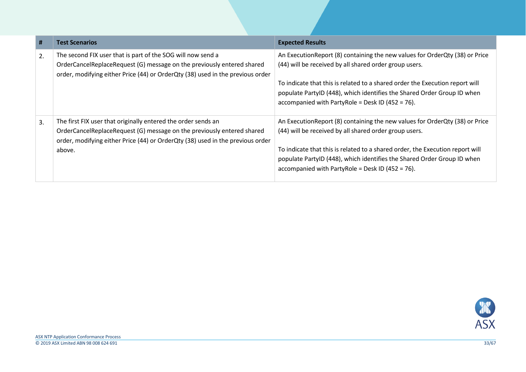| #  | <b>Test Scenarios</b>                                                                                                                                                                                                               | <b>Expected Results</b>                                                                                                                                                                                                                                                                                                                                 |
|----|-------------------------------------------------------------------------------------------------------------------------------------------------------------------------------------------------------------------------------------|---------------------------------------------------------------------------------------------------------------------------------------------------------------------------------------------------------------------------------------------------------------------------------------------------------------------------------------------------------|
| 2. | The second FIX user that is part of the SOG will now send a<br>OrderCancelReplaceRequest (G) message on the previously entered shared<br>order, modifying either Price (44) or OrderQty (38) used in the previous order             | An Execution Report (8) containing the new values for Order Qty (38) or Price<br>(44) will be received by all shared order group users.<br>To indicate that this is related to a shared order the Execution report will<br>populate PartyID (448), which identifies the Shared Order Group ID when<br>accompanied with PartyRole = Desk ID (452 = 76).  |
| 3. | The first FIX user that originally entered the order sends an<br>OrderCancelReplaceRequest (G) message on the previously entered shared<br>order, modifying either Price (44) or OrderQty (38) used in the previous order<br>above. | An Execution Report (8) containing the new values for Order Qty (38) or Price<br>(44) will be received by all shared order group users.<br>To indicate that this is related to a shared order, the Execution report will<br>populate PartyID (448), which identifies the Shared Order Group ID when<br>accompanied with PartyRole = Desk ID (452 = 76). |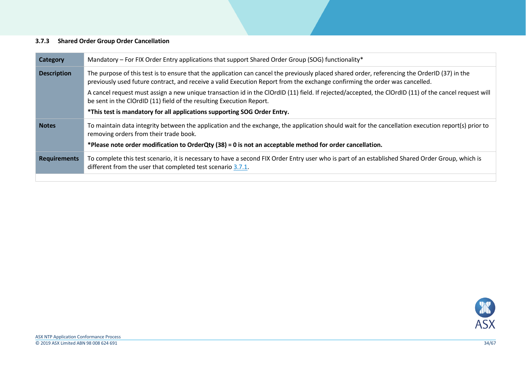#### <span id="page-33-1"></span>**3.7.3 Shared Order Group Order Cancellation**

<span id="page-33-0"></span>

| <b>Category</b>     | Mandatory – For FIX Order Entry applications that support Shared Order Group (SOG) functionality*                                                                                                                                                                            |
|---------------------|------------------------------------------------------------------------------------------------------------------------------------------------------------------------------------------------------------------------------------------------------------------------------|
| <b>Description</b>  | The purpose of this test is to ensure that the application can cancel the previously placed shared order, referencing the OrderID (37) in the<br>previously used future contract, and receive a valid Execution Report from the exchange confirming the order was cancelled. |
|                     | A cancel request must assign a new unique transaction id in the ClOrdID (11) field. If rejected/accepted, the ClOrdID (11) of the cancel request will<br>be sent in the ClOrdID (11) field of the resulting Execution Report.                                                |
|                     | *This test is mandatory for all applications supporting SOG Order Entry.                                                                                                                                                                                                     |
| <b>Notes</b>        | To maintain data integrity between the application and the exchange, the application should wait for the cancellation execution report(s) prior to<br>removing orders from their trade book.                                                                                 |
|                     | *Please note order modification to OrderQty (38) = 0 is not an acceptable method for order cancellation.                                                                                                                                                                     |
| <b>Requirements</b> | To complete this test scenario, it is necessary to have a second FIX Order Entry user who is part of an established Shared Order Group, which is<br>different from the user that completed test scenario 3.7.1.                                                              |
|                     |                                                                                                                                                                                                                                                                              |

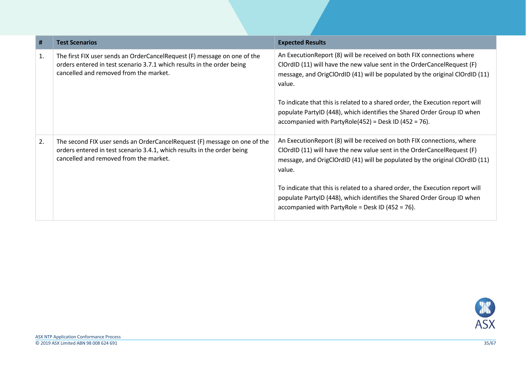| #  | <b>Test Scenarios</b>                                                                                                                                                                          | <b>Expected Results</b>                                                                                                                                                                                                                      |
|----|------------------------------------------------------------------------------------------------------------------------------------------------------------------------------------------------|----------------------------------------------------------------------------------------------------------------------------------------------------------------------------------------------------------------------------------------------|
| 1. | The first FIX user sends an OrderCancelRequest (F) message on one of the<br>orders entered in test scenario 3.7.1 which results in the order being<br>cancelled and removed from the market.   | An Execution Report (8) will be received on both FIX connections where<br>ClOrdID (11) will have the new value sent in the OrderCancelRequest (F)<br>message, and OrigClOrdID (41) will be populated by the original ClOrdID (11)<br>value.  |
|    |                                                                                                                                                                                                | To indicate that this is related to a shared order, the Execution report will<br>populate PartyID (448), which identifies the Shared Order Group ID when<br>accompanied with PartyRole(452) = Desk ID (452 = 76).                            |
| 2. | The second FIX user sends an OrderCancelRequest (F) message on one of the<br>orders entered in test scenario 3.4.1, which results in the order being<br>cancelled and removed from the market. | An Execution Report (8) will be received on both FIX connections, where<br>ClOrdID (11) will have the new value sent in the OrderCancelRequest (F)<br>message, and OrigClOrdID (41) will be populated by the original ClOrdID (11)<br>value. |
|    |                                                                                                                                                                                                | To indicate that this is related to a shared order, the Execution report will<br>populate PartyID (448), which identifies the Shared Order Group ID when<br>accompanied with PartyRole = Desk ID (452 = 76).                                 |

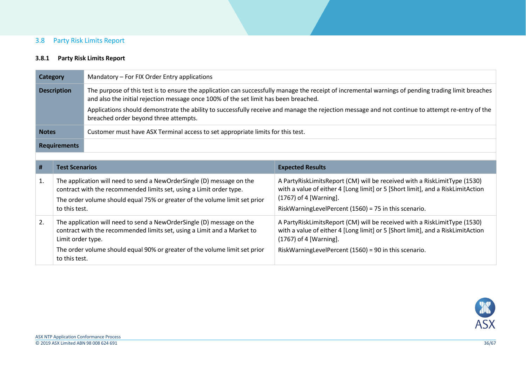## 3.8 Party Risk Limits Report

## **3.8.1 Party Risk Limits Report**

<span id="page-35-1"></span><span id="page-35-0"></span>

|                    | Mandatory - For FIX Order Entry applications<br><b>Category</b> |                                                                                                                                                                                                                            |                                                                                                                                                                                                                                                 |  |
|--------------------|-----------------------------------------------------------------|----------------------------------------------------------------------------------------------------------------------------------------------------------------------------------------------------------------------------|-------------------------------------------------------------------------------------------------------------------------------------------------------------------------------------------------------------------------------------------------|--|
| <b>Description</b> |                                                                 | and also the initial rejection message once 100% of the set limit has been breached.                                                                                                                                       | The purpose of this test is to ensure the application can successfully manage the receipt of incremental warnings of pending trading limit breaches                                                                                             |  |
|                    |                                                                 | Applications should demonstrate the ability to successfully receive and manage the rejection message and not continue to attempt re-entry of the<br>breached order beyond three attempts.                                  |                                                                                                                                                                                                                                                 |  |
| <b>Notes</b>       |                                                                 | Customer must have ASX Terminal access to set appropriate limits for this test.                                                                                                                                            |                                                                                                                                                                                                                                                 |  |
|                    | <b>Requirements</b>                                             |                                                                                                                                                                                                                            |                                                                                                                                                                                                                                                 |  |
|                    |                                                                 |                                                                                                                                                                                                                            |                                                                                                                                                                                                                                                 |  |
| #                  | <b>Test Scenarios</b>                                           |                                                                                                                                                                                                                            | <b>Expected Results</b>                                                                                                                                                                                                                         |  |
| 1.                 | to this test.                                                   | The application will need to send a NewOrderSingle (D) message on the<br>contract with the recommended limits set, using a Limit order type.<br>The order volume should equal 75% or greater of the volume limit set prior | A PartyRiskLimitsReport (CM) will be received with a RiskLimitType (1530)<br>with a value of either 4 [Long limit] or 5 [Short limit], and a RiskLimitAction<br>(1767) of 4 [Warning].<br>RiskWarningLevelPercent (1560) = 75 in this scenario. |  |
| 2.                 | Limit order type.                                               | The application will need to send a NewOrderSingle (D) message on the<br>contract with the recommended limits set, using a Limit and a Market to                                                                           | A PartyRiskLimitsReport (CM) will be received with a RiskLimitType (1530)<br>with a value of either 4 [Long limit] or 5 [Short limit], and a RiskLimitAction<br>$(1767)$ of 4 [Warning].                                                        |  |
|                    | to this test.                                                   | The order volume should equal 90% or greater of the volume limit set prior                                                                                                                                                 | RiskWarningLevelPercent (1560) = 90 in this scenario.                                                                                                                                                                                           |  |

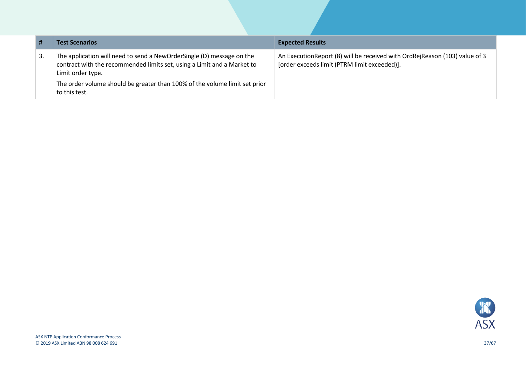| #  | <b>Test Scenarios</b>                                                                                                                                                                                                                                                | <b>Expected Results</b>                                                                                                       |
|----|----------------------------------------------------------------------------------------------------------------------------------------------------------------------------------------------------------------------------------------------------------------------|-------------------------------------------------------------------------------------------------------------------------------|
| 3. | The application will need to send a NewOrderSingle (D) message on the<br>contract with the recommended limits set, using a Limit and a Market to<br>Limit order type.<br>The order volume should be greater than 100% of the volume limit set prior<br>to this test. | An Execution Report (8) will be received with Ord Rej Reason (103) value of 3<br>[order exceeds limit (PTRM limit exceeded)]. |

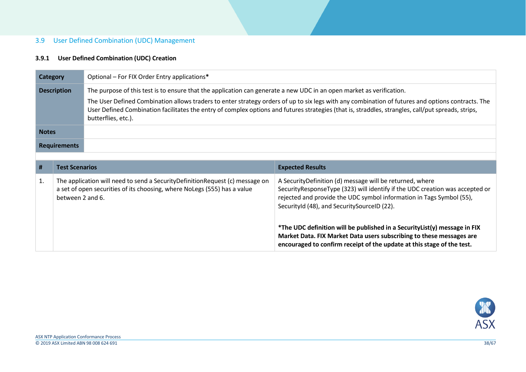#### 3.9 User Defined Combination (UDC) Management

#### **3.9.1 User Defined Combination (UDC) Creation**

<span id="page-37-1"></span><span id="page-37-0"></span>

| <b>Category</b> |                       | Optional - For FIX Order Entry applications*                                                                                                             |                                                                                                                                                                                                                                                                                                         |
|-----------------|-----------------------|----------------------------------------------------------------------------------------------------------------------------------------------------------|---------------------------------------------------------------------------------------------------------------------------------------------------------------------------------------------------------------------------------------------------------------------------------------------------------|
|                 | <b>Description</b>    | The purpose of this test is to ensure that the application can generate a new UDC in an open market as verification.<br>butterflies, etc.).              | The User Defined Combination allows traders to enter strategy orders of up to six legs with any combination of futures and options contracts. The<br>User Defined Combination facilitates the entry of complex options and futures strategies (that is, straddles, strangles, call/put spreads, strips, |
| <b>Notes</b>    |                       |                                                                                                                                                          |                                                                                                                                                                                                                                                                                                         |
|                 | <b>Requirements</b>   |                                                                                                                                                          |                                                                                                                                                                                                                                                                                                         |
|                 |                       |                                                                                                                                                          |                                                                                                                                                                                                                                                                                                         |
| #               | <b>Test Scenarios</b> |                                                                                                                                                          | <b>Expected Results</b>                                                                                                                                                                                                                                                                                 |
| 1.              | between 2 and 6.      | The application will need to send a SecurityDefinitionRequest (c) message on<br>a set of open securities of its choosing, where NoLegs (555) has a value | A SecurityDefinition (d) message will be returned, where<br>SecurityResponseType (323) will identify if the UDC creation was accepted or<br>rejected and provide the UDC symbol information in Tags Symbol (55),<br>SecurityId (48), and SecuritySourceID (22).                                         |
|                 |                       |                                                                                                                                                          | *The UDC definition will be published in a Security List(y) message in FIX                                                                                                                                                                                                                              |

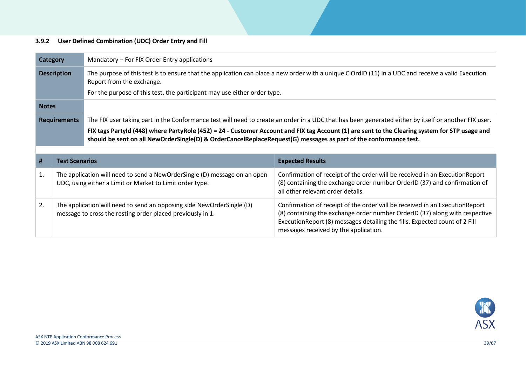## **3.9.2 User Defined Combination (UDC) Order Entry and Fill**

<span id="page-38-0"></span>

|              | Category              | Mandatory – For FIX Order Entry applications                                                                                          |                                                                                                                                                                                               |
|--------------|-----------------------|---------------------------------------------------------------------------------------------------------------------------------------|-----------------------------------------------------------------------------------------------------------------------------------------------------------------------------------------------|
|              | <b>Description</b>    | Report from the exchange.                                                                                                             | The purpose of this test is to ensure that the application can place a new order with a unique ClOrdID (11) in a UDC and receive a valid Execution                                            |
|              |                       | For the purpose of this test, the participant may use either order type.                                                              |                                                                                                                                                                                               |
| <b>Notes</b> |                       |                                                                                                                                       |                                                                                                                                                                                               |
|              | <b>Requirements</b>   |                                                                                                                                       | The FIX user taking part in the Conformance test will need to create an order in a UDC that has been generated either by itself or another FIX user.                                          |
|              |                       | should be sent on all NewOrderSingle(D) & OrderCancelReplaceRequest(G) messages as part of the conformance test.                      | FIX tags Partyld (448) where PartyRole (452) = 24 - Customer Account and FIX tag Account (1) are sent to the Clearing system for STP usage and                                                |
|              |                       |                                                                                                                                       |                                                                                                                                                                                               |
|              |                       |                                                                                                                                       |                                                                                                                                                                                               |
| #            | <b>Test Scenarios</b> |                                                                                                                                       | <b>Expected Results</b>                                                                                                                                                                       |
| 1.           |                       | The application will need to send a NewOrderSingle (D) message on an open<br>UDC, using either a Limit or Market to Limit order type. | Confirmation of receipt of the order will be received in an ExecutionReport<br>(8) containing the exchange order number OrderID (37) and confirmation of<br>all other relevant order details. |

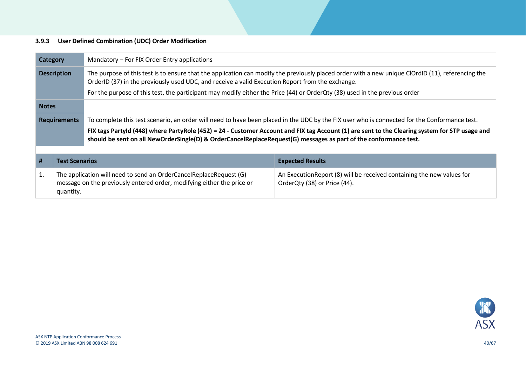## **3.9.3 User Defined Combination (UDC) Order Modification**

<span id="page-39-0"></span>

| Category                                                                                                                                                        |                                                                                                                                                                                                                                                                             | Mandatory – For FIX Order Entry applications                                                                                                                                                                                                                       |                                                                                                        |  |  |
|-----------------------------------------------------------------------------------------------------------------------------------------------------------------|-----------------------------------------------------------------------------------------------------------------------------------------------------------------------------------------------------------------------------------------------------------------------------|--------------------------------------------------------------------------------------------------------------------------------------------------------------------------------------------------------------------------------------------------------------------|--------------------------------------------------------------------------------------------------------|--|--|
|                                                                                                                                                                 | The purpose of this test is to ensure that the application can modify the previously placed order with a new unique ClOrdID (11), referencing the<br><b>Description</b><br>OrderID (37) in the previously used UDC, and receive a valid Execution Report from the exchange. |                                                                                                                                                                                                                                                                    |                                                                                                        |  |  |
|                                                                                                                                                                 |                                                                                                                                                                                                                                                                             | For the purpose of this test, the participant may modify either the Price (44) or OrderQty (38) used in the previous order                                                                                                                                         |                                                                                                        |  |  |
| <b>Notes</b>                                                                                                                                                    |                                                                                                                                                                                                                                                                             |                                                                                                                                                                                                                                                                    |                                                                                                        |  |  |
|                                                                                                                                                                 | <b>Requirements</b>                                                                                                                                                                                                                                                         | To complete this test scenario, an order will need to have been placed in the UDC by the FIX user who is connected for the Conformance test.                                                                                                                       |                                                                                                        |  |  |
|                                                                                                                                                                 |                                                                                                                                                                                                                                                                             | FIX tags Partyld (448) where PartyRole (452) = 24 - Customer Account and FIX tag Account (1) are sent to the Clearing system for STP usage and<br>should be sent on all NewOrderSingle(D) & OrderCancelReplaceRequest(G) messages as part of the conformance test. |                                                                                                        |  |  |
|                                                                                                                                                                 |                                                                                                                                                                                                                                                                             |                                                                                                                                                                                                                                                                    |                                                                                                        |  |  |
| #                                                                                                                                                               | <b>Test Scenarios</b>                                                                                                                                                                                                                                                       |                                                                                                                                                                                                                                                                    | <b>Expected Results</b>                                                                                |  |  |
| 1.<br>The application will need to send an OrderCancelReplaceRequest (G)<br>message on the previously entered order, modifying either the price or<br>quantity. |                                                                                                                                                                                                                                                                             |                                                                                                                                                                                                                                                                    | An Execution Report (8) will be received containing the new values for<br>OrderQty (38) or Price (44). |  |  |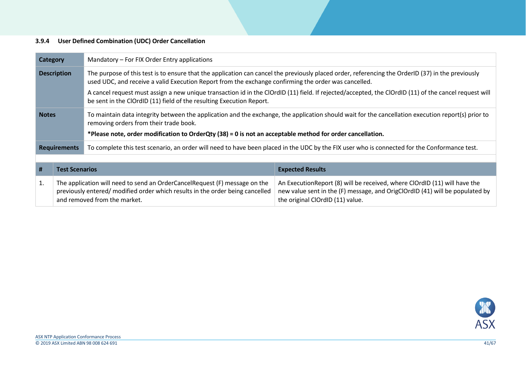## **3.9.4 User Defined Combination (UDC) Order Cancellation**

<span id="page-40-0"></span>

| <b>Category</b>                                                                                                                                                                                                                                                                 |                     | Mandatory – For FIX Order Entry applications                                                                                                                                                 |                                                                                                                                                                                                |  |  |
|---------------------------------------------------------------------------------------------------------------------------------------------------------------------------------------------------------------------------------------------------------------------------------|---------------------|----------------------------------------------------------------------------------------------------------------------------------------------------------------------------------------------|------------------------------------------------------------------------------------------------------------------------------------------------------------------------------------------------|--|--|
| The purpose of this test is to ensure that the application can cancel the previously placed order, referencing the OrderID (37) in the previously<br><b>Description</b><br>used UDC, and receive a valid Execution Report from the exchange confirming the order was cancelled. |                     |                                                                                                                                                                                              |                                                                                                                                                                                                |  |  |
| A cancel request must assign a new unique transaction id in the ClOrdID (11) field. If rejected/accepted, the ClOrdID (11) of the cancel request will<br>be sent in the ClOrdID (11) field of the resulting Execution Report.                                                   |                     |                                                                                                                                                                                              |                                                                                                                                                                                                |  |  |
| <b>Notes</b>                                                                                                                                                                                                                                                                    |                     | To maintain data integrity between the application and the exchange, the application should wait for the cancellation execution report(s) prior to<br>removing orders from their trade book. |                                                                                                                                                                                                |  |  |
|                                                                                                                                                                                                                                                                                 |                     | *Please note, order modification to OrderQty (38) = 0 is not an acceptable method for order cancellation.                                                                                    |                                                                                                                                                                                                |  |  |
|                                                                                                                                                                                                                                                                                 | <b>Requirements</b> | To complete this test scenario, an order will need to have been placed in the UDC by the FIX user who is connected for the Conformance test.                                                 |                                                                                                                                                                                                |  |  |
|                                                                                                                                                                                                                                                                                 |                     |                                                                                                                                                                                              |                                                                                                                                                                                                |  |  |
| #<br><b>Test Scenarios</b>                                                                                                                                                                                                                                                      |                     |                                                                                                                                                                                              | <b>Expected Results</b>                                                                                                                                                                        |  |  |
| 1.<br>and removed from the market.                                                                                                                                                                                                                                              |                     | The application will need to send an OrderCancelRequest (F) message on the<br>previously entered/ modified order which results in the order being cancelled                                  | An Execution Report (8) will be received, where ClOrdID (11) will have the<br>new value sent in the (F) message, and OrigClOrdID (41) will be populated by<br>the original ClOrdID (11) value. |  |  |

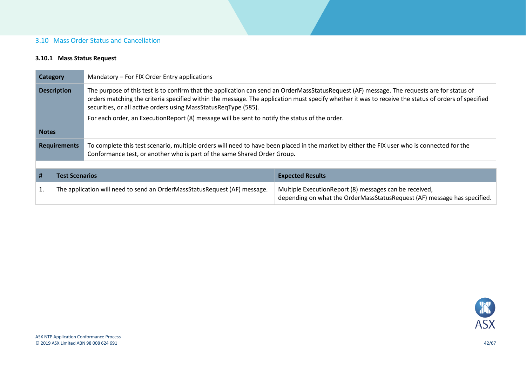## 3.10 Mass Order Status and Cancellation

#### **3.10.1 Mass Status Request**

<span id="page-41-1"></span><span id="page-41-0"></span>

|                                                                                                                                                                                                                                                                                                                                                                                                                                                                                               | Mandatory - For FIX Order Entry applications<br>Category |                                                                                                                                                                                                                         |                                                                                                                                    |
|-----------------------------------------------------------------------------------------------------------------------------------------------------------------------------------------------------------------------------------------------------------------------------------------------------------------------------------------------------------------------------------------------------------------------------------------------------------------------------------------------|----------------------------------------------------------|-------------------------------------------------------------------------------------------------------------------------------------------------------------------------------------------------------------------------|------------------------------------------------------------------------------------------------------------------------------------|
| The purpose of this test is to confirm that the application can send an OrderMassStatusRequest (AF) message. The requests are for status of<br><b>Description</b><br>orders matching the criteria specified within the message. The application must specify whether it was to receive the status of orders of specified<br>securities, or all active orders using MassStatusReqType (585).<br>For each order, an ExecutionReport (8) message will be sent to notify the status of the order. |                                                          |                                                                                                                                                                                                                         |                                                                                                                                    |
|                                                                                                                                                                                                                                                                                                                                                                                                                                                                                               |                                                          |                                                                                                                                                                                                                         |                                                                                                                                    |
| <b>Notes</b>                                                                                                                                                                                                                                                                                                                                                                                                                                                                                  |                                                          |                                                                                                                                                                                                                         |                                                                                                                                    |
| <b>Requirements</b>                                                                                                                                                                                                                                                                                                                                                                                                                                                                           |                                                          | To complete this test scenario, multiple orders will need to have been placed in the market by either the FIX user who is connected for the<br>Conformance test, or another who is part of the same Shared Order Group. |                                                                                                                                    |
|                                                                                                                                                                                                                                                                                                                                                                                                                                                                                               |                                                          |                                                                                                                                                                                                                         |                                                                                                                                    |
| #                                                                                                                                                                                                                                                                                                                                                                                                                                                                                             | <b>Test Scenarios</b>                                    |                                                                                                                                                                                                                         | <b>Expected Results</b>                                                                                                            |
| The application will need to send an OrderMassStatusRequest (AF) message.<br>1.                                                                                                                                                                                                                                                                                                                                                                                                               |                                                          |                                                                                                                                                                                                                         | Multiple ExecutionReport (8) messages can be received,<br>depending on what the OrderMassStatusRequest (AF) message has specified. |

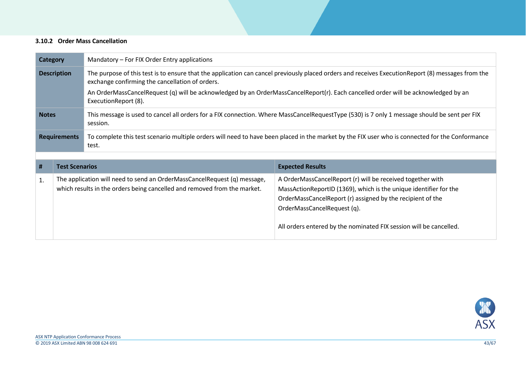#### **3.10.2 Order Mass Cancellation**

<span id="page-42-0"></span>

| <b>Category</b>                                                                                                                                                          | Mandatory – For FIX Order Entry applications                                                                                                         |                                                                                                                                                            |                                                                                                                                                                                                                                                                                                    |  |
|--------------------------------------------------------------------------------------------------------------------------------------------------------------------------|------------------------------------------------------------------------------------------------------------------------------------------------------|------------------------------------------------------------------------------------------------------------------------------------------------------------|----------------------------------------------------------------------------------------------------------------------------------------------------------------------------------------------------------------------------------------------------------------------------------------------------|--|
| <b>Description</b>                                                                                                                                                       |                                                                                                                                                      | exchange confirming the cancellation of orders.                                                                                                            | The purpose of this test is to ensure that the application can cancel previously placed orders and receives ExecutionReport (8) messages from the                                                                                                                                                  |  |
|                                                                                                                                                                          |                                                                                                                                                      | An OrderMassCancelRequest (q) will be acknowledged by an OrderMassCancelReport(r). Each cancelled order will be acknowledged by an<br>ExecutionReport (8). |                                                                                                                                                                                                                                                                                                    |  |
| This message is used to cancel all orders for a FIX connection. Where MassCancelRequestType (530) is 7 only 1 message should be sent per FIX<br><b>Notes</b><br>session. |                                                                                                                                                      |                                                                                                                                                            |                                                                                                                                                                                                                                                                                                    |  |
|                                                                                                                                                                          | <b>Requirements</b>                                                                                                                                  | To complete this test scenario multiple orders will need to have been placed in the market by the FIX user who is connected for the Conformance<br>test.   |                                                                                                                                                                                                                                                                                                    |  |
|                                                                                                                                                                          |                                                                                                                                                      |                                                                                                                                                            |                                                                                                                                                                                                                                                                                                    |  |
| #                                                                                                                                                                        | <b>Test Scenarios</b>                                                                                                                                |                                                                                                                                                            | <b>Expected Results</b>                                                                                                                                                                                                                                                                            |  |
| 1.                                                                                                                                                                       | The application will need to send an OrderMassCancelRequest (q) message,<br>which results in the orders being cancelled and removed from the market. |                                                                                                                                                            | A OrderMassCancelReport (r) will be received together with<br>MassActionReportID (1369), which is the unique identifier for the<br>OrderMassCancelReport (r) assigned by the recipient of the<br>OrderMassCancelRequest (q).<br>All orders entered by the nominated FIX session will be cancelled. |  |

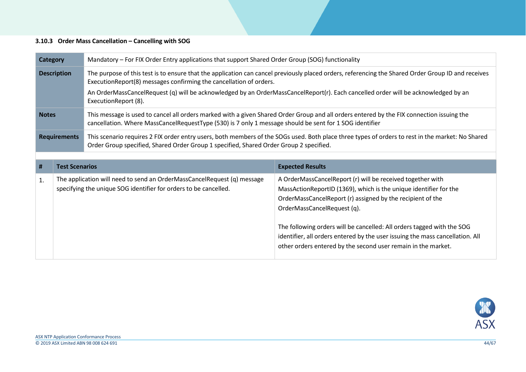#### **3.10.3 Order Mass Cancellation – Cancelling with SOG**

<span id="page-43-0"></span>

|                      | Mandatory – For FIX Order Entry applications that support Shared Order Group (SOG) functionality<br><b>Category</b> |                                                                                                                                                                                                                                                      |                                                                                                                                    |  |
|----------------------|---------------------------------------------------------------------------------------------------------------------|------------------------------------------------------------------------------------------------------------------------------------------------------------------------------------------------------------------------------------------------------|------------------------------------------------------------------------------------------------------------------------------------|--|
| <b>Description</b>   |                                                                                                                     | The purpose of this test is to ensure that the application can cancel previously placed orders, referencing the Shared Order Group ID and receives<br>ExecutionReport(8) messages confirming the cancellation of orders.                             |                                                                                                                                    |  |
| ExecutionReport (8). |                                                                                                                     |                                                                                                                                                                                                                                                      | An OrderMassCancelRequest (q) will be acknowledged by an OrderMassCancelReport(r). Each cancelled order will be acknowledged by an |  |
| <b>Notes</b>         |                                                                                                                     | This message is used to cancel all orders marked with a given Shared Order Group and all orders entered by the FIX connection issuing the<br>cancellation. Where MassCancelRequestType (530) is 7 only 1 message should be sent for 1 SOG identifier |                                                                                                                                    |  |
| <b>Requirements</b>  |                                                                                                                     | This scenario requires 2 FIX order entry users, both members of the SOGs used. Both place three types of orders to rest in the market: No Shared<br>Order Group specified, Shared Order Group 1 specified, Shared Order Group 2 specified.           |                                                                                                                                    |  |
|                      |                                                                                                                     |                                                                                                                                                                                                                                                      |                                                                                                                                    |  |
|                      |                                                                                                                     |                                                                                                                                                                                                                                                      |                                                                                                                                    |  |
| #                    | <b>Test Scenarios</b>                                                                                               |                                                                                                                                                                                                                                                      | <b>Expected Results</b>                                                                                                            |  |

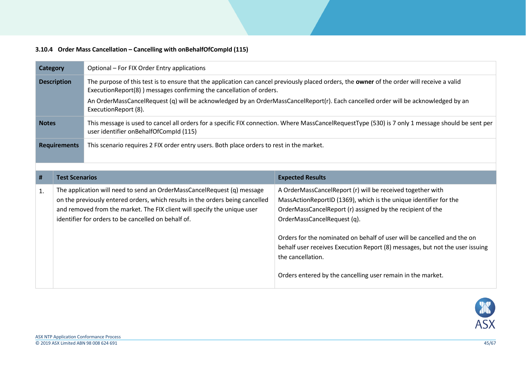## **3.10.4 Order Mass Cancellation – Cancelling with onBehalfOfCompId (115)**

<span id="page-44-0"></span>

| <b>Category</b>     |                       | Optional - For FIX Order Entry applications                                                                                                                                                                                                                                                                                                                                       |                                                                                                                                                                                                                                                                                                                                                                                                                                                                             |  |
|---------------------|-----------------------|-----------------------------------------------------------------------------------------------------------------------------------------------------------------------------------------------------------------------------------------------------------------------------------------------------------------------------------------------------------------------------------|-----------------------------------------------------------------------------------------------------------------------------------------------------------------------------------------------------------------------------------------------------------------------------------------------------------------------------------------------------------------------------------------------------------------------------------------------------------------------------|--|
| <b>Description</b>  |                       | The purpose of this test is to ensure that the application can cancel previously placed orders, the owner of the order will receive a valid<br>ExecutionReport(8) ) messages confirming the cancellation of orders.<br>An OrderMassCancelRequest (q) will be acknowledged by an OrderMassCancelReport(r). Each cancelled order will be acknowledged by an<br>ExecutionReport (8). |                                                                                                                                                                                                                                                                                                                                                                                                                                                                             |  |
| <b>Notes</b>        |                       | This message is used to cancel all orders for a specific FIX connection. Where MassCancelRequestType (530) is 7 only 1 message should be sent per<br>user identifier onBehalfOfCompId (115)                                                                                                                                                                                       |                                                                                                                                                                                                                                                                                                                                                                                                                                                                             |  |
| <b>Requirements</b> |                       | This scenario requires 2 FIX order entry users. Both place orders to rest in the market.                                                                                                                                                                                                                                                                                          |                                                                                                                                                                                                                                                                                                                                                                                                                                                                             |  |
|                     |                       |                                                                                                                                                                                                                                                                                                                                                                                   |                                                                                                                                                                                                                                                                                                                                                                                                                                                                             |  |
| #                   | <b>Test Scenarios</b> |                                                                                                                                                                                                                                                                                                                                                                                   | <b>Expected Results</b>                                                                                                                                                                                                                                                                                                                                                                                                                                                     |  |
| 1.                  |                       | The application will need to send an OrderMassCancelRequest (q) message<br>on the previously entered orders, which results in the orders being cancelled<br>and removed from the market. The FIX client will specify the unique user<br>identifier for orders to be cancelled on behalf of.                                                                                       | A OrderMassCancelReport (r) will be received together with<br>MassActionReportID (1369), which is the unique identifier for the<br>OrderMassCancelReport (r) assigned by the recipient of the<br>OrderMassCancelRequest (q).<br>Orders for the nominated on behalf of user will be cancelled and the on<br>behalf user receives Execution Report (8) messages, but not the user issuing<br>the cancellation.<br>Orders entered by the cancelling user remain in the market. |  |

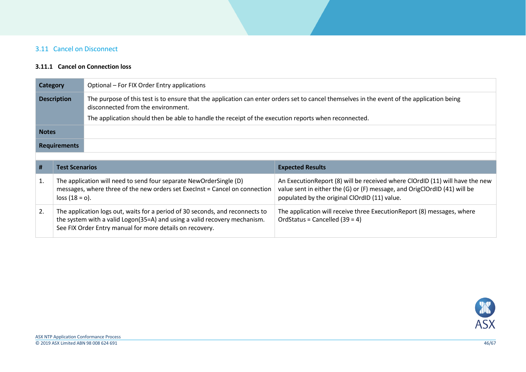# 3.11 Cancel on Disconnect

#### **3.11.1 Cancel on Connection loss**

<span id="page-45-1"></span><span id="page-45-0"></span>

| <b>Category</b>    |                                                                                                                                                                                                                        | Optional – For FIX Order Entry applications                                                                                                                                      |                                                                                                                                                                                                             |  |
|--------------------|------------------------------------------------------------------------------------------------------------------------------------------------------------------------------------------------------------------------|----------------------------------------------------------------------------------------------------------------------------------------------------------------------------------|-------------------------------------------------------------------------------------------------------------------------------------------------------------------------------------------------------------|--|
| <b>Description</b> |                                                                                                                                                                                                                        | The purpose of this test is to ensure that the application can enter orders set to cancel themselves in the event of the application being<br>disconnected from the environment. |                                                                                                                                                                                                             |  |
|                    |                                                                                                                                                                                                                        | The application should then be able to handle the receipt of the execution reports when reconnected.                                                                             |                                                                                                                                                                                                             |  |
| <b>Notes</b>       |                                                                                                                                                                                                                        |                                                                                                                                                                                  |                                                                                                                                                                                                             |  |
|                    | <b>Requirements</b>                                                                                                                                                                                                    |                                                                                                                                                                                  |                                                                                                                                                                                                             |  |
|                    |                                                                                                                                                                                                                        |                                                                                                                                                                                  |                                                                                                                                                                                                             |  |
| #                  | <b>Test Scenarios</b>                                                                                                                                                                                                  |                                                                                                                                                                                  | <b>Expected Results</b>                                                                                                                                                                                     |  |
| 1.                 | The application will need to send four separate NewOrderSingle (D)<br>messages, where three of the new orders set Execlnst = Cancel on connection<br>$loss (18 = 0).$                                                  |                                                                                                                                                                                  | An Execution Report (8) will be received where ClOrdID (11) will have the new<br>value sent in either the (G) or (F) message, and OrigClOrdID (41) will be<br>populated by the original ClOrdID (11) value. |  |
| 2.                 | The application logs out, waits for a period of 30 seconds, and reconnects to<br>the system with a valid Logon(35=A) and using a valid recovery mechanism.<br>See FIX Order Entry manual for more details on recovery. |                                                                                                                                                                                  | The application will receive three Execution Report (8) messages, where<br>OrdStatus = Cancelled $(39 = 4)$                                                                                                 |  |

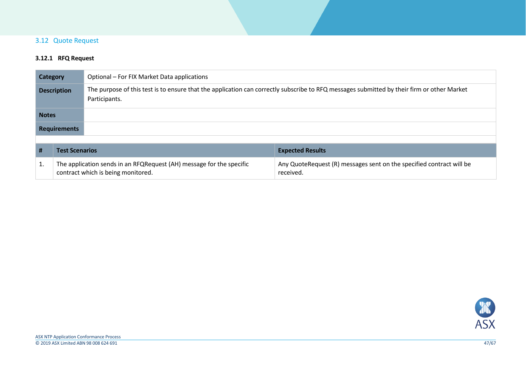## 3.12 Quote Request

## **3.12.1 RFQ Request**

<span id="page-46-1"></span><span id="page-46-0"></span>

|                    | Optional – For FIX Market Data applications<br><b>Category</b>                                             |                                                                                                                                                             |                                                                                   |  |
|--------------------|------------------------------------------------------------------------------------------------------------|-------------------------------------------------------------------------------------------------------------------------------------------------------------|-----------------------------------------------------------------------------------|--|
| <b>Description</b> |                                                                                                            | The purpose of this test is to ensure that the application can correctly subscribe to RFQ messages submitted by their firm or other Market<br>Participants. |                                                                                   |  |
| <b>Notes</b>       |                                                                                                            |                                                                                                                                                             |                                                                                   |  |
|                    | <b>Requirements</b>                                                                                        |                                                                                                                                                             |                                                                                   |  |
|                    |                                                                                                            |                                                                                                                                                             |                                                                                   |  |
| #                  | <b>Test Scenarios</b>                                                                                      |                                                                                                                                                             | <b>Expected Results</b>                                                           |  |
| 1.                 | The application sends in an RFQRequest (AH) message for the specific<br>contract which is being monitored. |                                                                                                                                                             | Any QuoteRequest (R) messages sent on the specified contract will be<br>received. |  |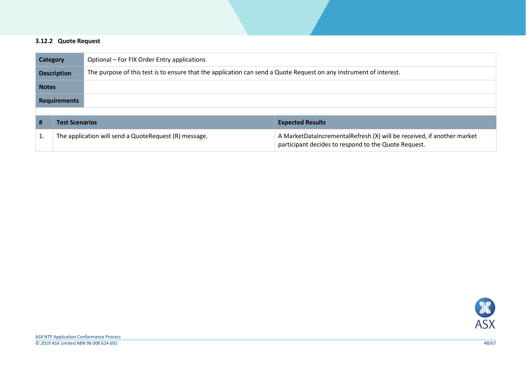#### **3.12.2 Quote Request**

<span id="page-47-0"></span>

| <b>Category</b>     |                                                       | Optional – For FIX Order Entry applications                                                                        |                                                                                                                                |  |  |
|---------------------|-------------------------------------------------------|--------------------------------------------------------------------------------------------------------------------|--------------------------------------------------------------------------------------------------------------------------------|--|--|
| <b>Description</b>  |                                                       | The purpose of this test is to ensure that the application can send a Quote Request on any instrument of interest. |                                                                                                                                |  |  |
| <b>Notes</b>        |                                                       |                                                                                                                    |                                                                                                                                |  |  |
| <b>Requirements</b> |                                                       |                                                                                                                    |                                                                                                                                |  |  |
|                     |                                                       |                                                                                                                    |                                                                                                                                |  |  |
| #                   | <b>Test Scenarios</b>                                 |                                                                                                                    | <b>Expected Results</b>                                                                                                        |  |  |
|                     | The application will send a QuoteRequest (R) message. |                                                                                                                    | A MarketDataIncrementalRefresh (X) will be received, if another market<br>participant decides to respond to the Quote Request. |  |  |

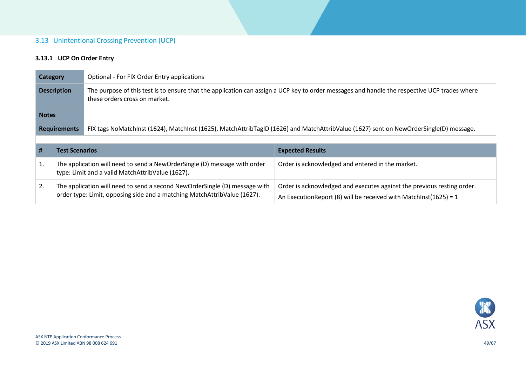#### 3.13 Unintentional Crossing Prevention (UCP)

## **3.13.1 UCP On Order Entry**

<span id="page-48-1"></span><span id="page-48-0"></span>

| <b>Category</b>    |                                                                                                                                                        | Optional - For FIX Order Entry applications                                                                                                                                   |                                                                                                                                             |  |
|--------------------|--------------------------------------------------------------------------------------------------------------------------------------------------------|-------------------------------------------------------------------------------------------------------------------------------------------------------------------------------|---------------------------------------------------------------------------------------------------------------------------------------------|--|
| <b>Description</b> |                                                                                                                                                        | The purpose of this test is to ensure that the application can assign a UCP key to order messages and handle the respective UCP trades where<br>these orders cross on market. |                                                                                                                                             |  |
| <b>Notes</b>       |                                                                                                                                                        |                                                                                                                                                                               |                                                                                                                                             |  |
|                    | <b>Requirements</b>                                                                                                                                    | FIX tags NoMatchInst (1624), MatchInst (1625), MatchAttribTagID (1626) and MatchAttribValue (1627) sent on NewOrderSingle(D) message.                                         |                                                                                                                                             |  |
|                    |                                                                                                                                                        |                                                                                                                                                                               |                                                                                                                                             |  |
| #                  | <b>Test Scenarios</b>                                                                                                                                  |                                                                                                                                                                               | <b>Expected Results</b>                                                                                                                     |  |
| 1.                 | The application will need to send a NewOrderSingle (D) message with order<br>type: Limit and a valid MatchAttribValue (1627).                          |                                                                                                                                                                               | Order is acknowledged and entered in the market.                                                                                            |  |
| 2.                 | The application will need to send a second NewOrderSingle (D) message with<br>order type: Limit, opposing side and a matching MatchAttribValue (1627). |                                                                                                                                                                               | Order is acknowledged and executes against the previous resting order.<br>An Execution Report (8) will be received with MatchInst(1625) = 1 |  |

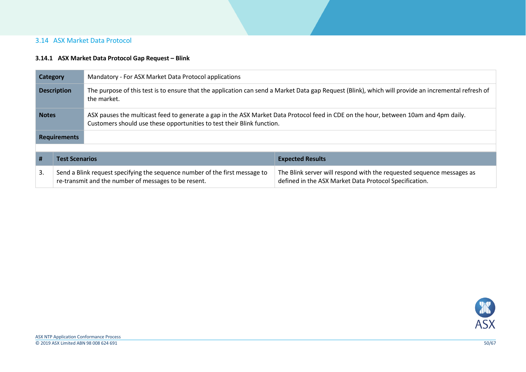## 3.14 ASX Market Data Protocol

#### **3.14.1 ASX Market Data Protocol Gap Request – Blink**

<span id="page-49-1"></span><span id="page-49-0"></span>

| <b>Category</b>                                                                                                                                                                                                                |                                                                                                                                     | Mandatory - For ASX Market Data Protocol applications |                                                                                                                                 |  |
|--------------------------------------------------------------------------------------------------------------------------------------------------------------------------------------------------------------------------------|-------------------------------------------------------------------------------------------------------------------------------------|-------------------------------------------------------|---------------------------------------------------------------------------------------------------------------------------------|--|
| The purpose of this test is to ensure that the application can send a Market Data gap Request (Blink), which will provide an incremental refresh of<br><b>Description</b><br>the market.                                       |                                                                                                                                     |                                                       |                                                                                                                                 |  |
| ASX pauses the multicast feed to generate a gap in the ASX Market Data Protocol feed in CDE on the hour, between 10am and 4pm daily.<br><b>Notes</b><br>Customers should use these opportunities to test their Blink function. |                                                                                                                                     |                                                       |                                                                                                                                 |  |
|                                                                                                                                                                                                                                | <b>Requirements</b>                                                                                                                 |                                                       |                                                                                                                                 |  |
|                                                                                                                                                                                                                                |                                                                                                                                     |                                                       |                                                                                                                                 |  |
| #                                                                                                                                                                                                                              | <b>Test Scenarios</b>                                                                                                               |                                                       | <b>Expected Results</b>                                                                                                         |  |
| 3.                                                                                                                                                                                                                             | Send a Blink request specifying the sequence number of the first message to<br>re-transmit and the number of messages to be resent. |                                                       | The Blink server will respond with the requested sequence messages as<br>defined in the ASX Market Data Protocol Specification. |  |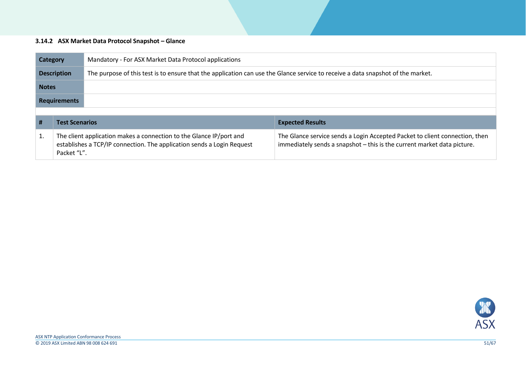#### **3.14.2 ASX Market Data Protocol Snapshot – Glance**

<span id="page-50-0"></span>

| <b>Category</b>                                       |                                                                                                                                                              | Mandatory - For ASX Market Data Protocol applications                                                                           |                                                                                                                                                        |  |
|-------------------------------------------------------|--------------------------------------------------------------------------------------------------------------------------------------------------------------|---------------------------------------------------------------------------------------------------------------------------------|--------------------------------------------------------------------------------------------------------------------------------------------------------|--|
| <b>Description</b>                                    |                                                                                                                                                              | The purpose of this test is to ensure that the application can use the Glance service to receive a data snapshot of the market. |                                                                                                                                                        |  |
| <b>Notes</b>                                          |                                                                                                                                                              |                                                                                                                                 |                                                                                                                                                        |  |
| <b>Requirements</b>                                   |                                                                                                                                                              |                                                                                                                                 |                                                                                                                                                        |  |
|                                                       |                                                                                                                                                              |                                                                                                                                 |                                                                                                                                                        |  |
| #<br><b>Test Scenarios</b><br><b>Expected Results</b> |                                                                                                                                                              |                                                                                                                                 |                                                                                                                                                        |  |
| 1.                                                    | The client application makes a connection to the Glance IP/port and<br>establishes a TCP/IP connection. The application sends a Login Request<br>Packet "L". |                                                                                                                                 | The Glance service sends a Login Accepted Packet to client connection, then<br>immediately sends a snapshot - this is the current market data picture. |  |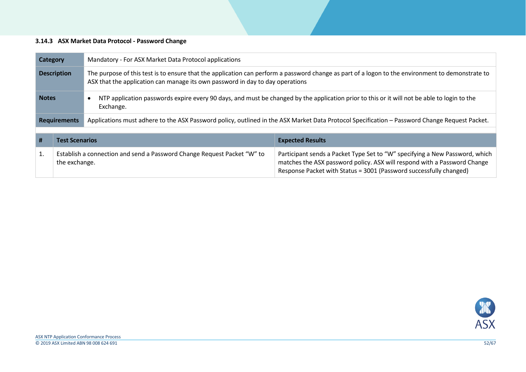#### **3.14.3 ASX Market Data Protocol - Password Change**

<span id="page-51-0"></span>

| <b>Category</b>     |                       | Mandatory - For ASX Market Data Protocol applications                                                                                                                                                                             |                                                                                                                                                                                                                               |  |
|---------------------|-----------------------|-----------------------------------------------------------------------------------------------------------------------------------------------------------------------------------------------------------------------------------|-------------------------------------------------------------------------------------------------------------------------------------------------------------------------------------------------------------------------------|--|
| <b>Description</b>  |                       | The purpose of this test is to ensure that the application can perform a password change as part of a logon to the environment to demonstrate to<br>ASX that the application can manage its own password in day to day operations |                                                                                                                                                                                                                               |  |
| <b>Notes</b>        |                       | Exchange.                                                                                                                                                                                                                         | NTP application passwords expire every 90 days, and must be changed by the application prior to this or it will not be able to login to the                                                                                   |  |
| <b>Requirements</b> |                       | Applications must adhere to the ASX Password policy, outlined in the ASX Market Data Protocol Specification – Password Change Request Packet.                                                                                     |                                                                                                                                                                                                                               |  |
|                     |                       |                                                                                                                                                                                                                                   |                                                                                                                                                                                                                               |  |
| #                   | <b>Test Scenarios</b> |                                                                                                                                                                                                                                   | <b>Expected Results</b>                                                                                                                                                                                                       |  |
| 1.                  | the exchange.         | Establish a connection and send a Password Change Request Packet "W" to                                                                                                                                                           | Participant sends a Packet Type Set to "W" specifying a New Password, which<br>matches the ASX password policy. ASX will respond with a Password Change<br>Response Packet with Status = 3001 (Password successfully changed) |  |

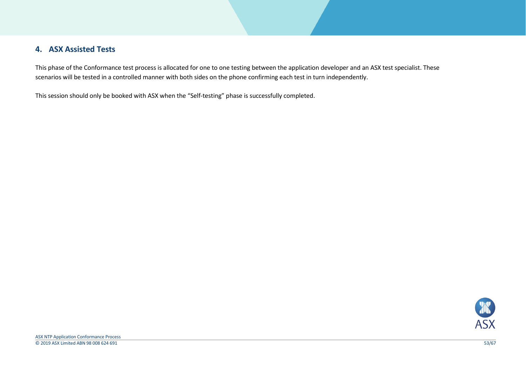# **4. ASX Assisted Tests**

This phase of the Conformance test process is allocated for one to one testing between the application developer and an ASX test specialist. These scenarios will be tested in a controlled manner with both sides on the phone confirming each test in turn independently.

<span id="page-52-0"></span>This session should only be booked with ASX when the "Self-testing" phase is successfully completed.

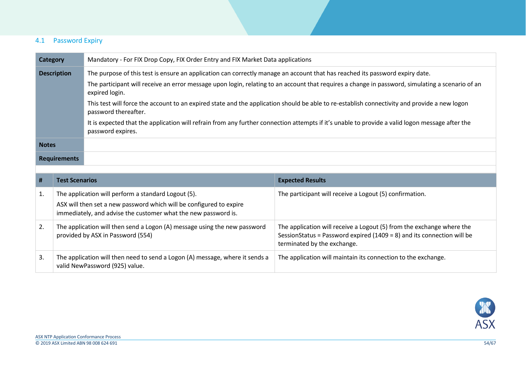## 4.1 Password Expiry

<span id="page-53-0"></span>

| <b>Category</b>     |                                                                                                                                       | Mandatory - For FIX Drop Copy, FIX Order Entry and FIX Market Data applications                                                                                      |                                                                                                                                                                                |  |
|---------------------|---------------------------------------------------------------------------------------------------------------------------------------|----------------------------------------------------------------------------------------------------------------------------------------------------------------------|--------------------------------------------------------------------------------------------------------------------------------------------------------------------------------|--|
|                     | <b>Description</b>                                                                                                                    | The purpose of this test is ensure an application can correctly manage an account that has reached its password expiry date.                                         |                                                                                                                                                                                |  |
|                     |                                                                                                                                       | The participant will receive an error message upon login, relating to an account that requires a change in password, simulating a scenario of an<br>expired login.   |                                                                                                                                                                                |  |
|                     |                                                                                                                                       | This test will force the account to an expired state and the application should be able to re-establish connectivity and provide a new logon<br>password thereafter. |                                                                                                                                                                                |  |
|                     |                                                                                                                                       | password expires.                                                                                                                                                    | It is expected that the application will refrain from any further connection attempts if it's unable to provide a valid logon message after the                                |  |
| <b>Notes</b>        |                                                                                                                                       |                                                                                                                                                                      |                                                                                                                                                                                |  |
| <b>Requirements</b> |                                                                                                                                       |                                                                                                                                                                      |                                                                                                                                                                                |  |
|                     |                                                                                                                                       |                                                                                                                                                                      |                                                                                                                                                                                |  |
| #                   | <b>Test Scenarios</b>                                                                                                                 |                                                                                                                                                                      | <b>Expected Results</b>                                                                                                                                                        |  |
| 1.                  |                                                                                                                                       | The application will perform a standard Logout (5).                                                                                                                  | The participant will receive a Logout (5) confirmation.                                                                                                                        |  |
|                     | ASX will then set a new password which will be configured to expire<br>immediately, and advise the customer what the new password is. |                                                                                                                                                                      |                                                                                                                                                                                |  |
| 2.                  |                                                                                                                                       | The application will then send a Logon (A) message using the new password<br>provided by ASX in Password (554)                                                       | The application will receive a Logout (5) from the exchange where the<br>SessionStatus = Password expired (1409 = 8) and its connection will be<br>terminated by the exchange. |  |
| 3.                  |                                                                                                                                       | The application will then need to send a Logon (A) message, where it sends a<br>valid NewPassword (925) value.                                                       | The application will maintain its connection to the exchange.                                                                                                                  |  |

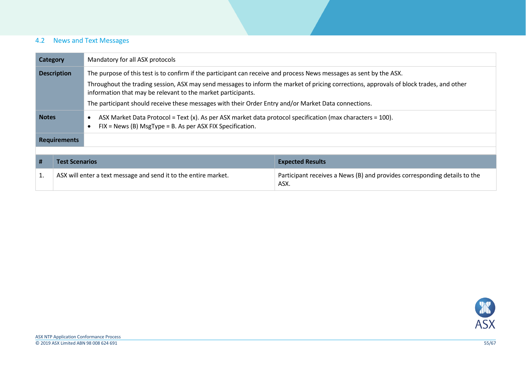## 4.2 News and Text Messages

<span id="page-54-0"></span>

| Mandatory for all ASX protocols<br>Category                                                                                                                                                             |                                                                                                                                           |                                                                                                                                                                           |                                                                                   |  |
|---------------------------------------------------------------------------------------------------------------------------------------------------------------------------------------------------------|-------------------------------------------------------------------------------------------------------------------------------------------|---------------------------------------------------------------------------------------------------------------------------------------------------------------------------|-----------------------------------------------------------------------------------|--|
|                                                                                                                                                                                                         | The purpose of this test is to confirm if the participant can receive and process News messages as sent by the ASX.<br><b>Description</b> |                                                                                                                                                                           |                                                                                   |  |
| Throughout the trading session, ASX may send messages to inform the market of pricing corrections, approvals of block trades, and other<br>information that may be relevant to the market participants. |                                                                                                                                           |                                                                                                                                                                           |                                                                                   |  |
|                                                                                                                                                                                                         |                                                                                                                                           | The participant should receive these messages with their Order Entry and/or Market Data connections.                                                                      |                                                                                   |  |
| <b>Notes</b>                                                                                                                                                                                            |                                                                                                                                           | ASX Market Data Protocol = Text (x). As per ASX market data protocol specification (max characters = 100).<br>$FIX = News (B) MsgType = B. As per ASX FIX Specification.$ |                                                                                   |  |
| <b>Requirements</b>                                                                                                                                                                                     |                                                                                                                                           |                                                                                                                                                                           |                                                                                   |  |
|                                                                                                                                                                                                         |                                                                                                                                           |                                                                                                                                                                           |                                                                                   |  |
| #                                                                                                                                                                                                       | <b>Test Scenarios</b>                                                                                                                     |                                                                                                                                                                           | <b>Expected Results</b>                                                           |  |
| 1.                                                                                                                                                                                                      |                                                                                                                                           | ASX will enter a text message and send it to the entire market.                                                                                                           | Participant receives a News (B) and provides corresponding details to the<br>ASX. |  |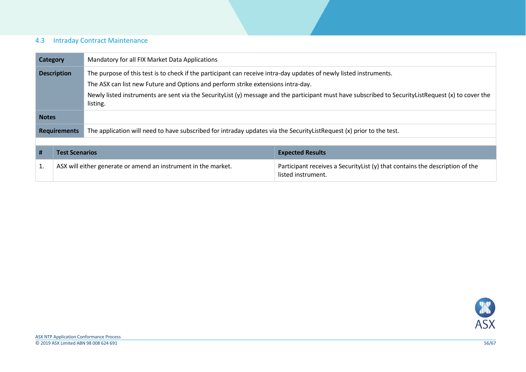## 4.3 Intraday Contract Maintenance

<span id="page-55-0"></span>

| <b>Category</b>     |                       | Mandatory for all FIX Market Data Applications                                                                       |                                                                                                                                                     |  |
|---------------------|-----------------------|----------------------------------------------------------------------------------------------------------------------|-----------------------------------------------------------------------------------------------------------------------------------------------------|--|
| <b>Description</b>  |                       | The purpose of this test is to check if the participant can receive intra-day updates of newly listed instruments.   |                                                                                                                                                     |  |
|                     |                       | The ASX can list new Future and Options and perform strike extensions intra-day.                                     |                                                                                                                                                     |  |
|                     |                       | listing.                                                                                                             | Newly listed instruments are sent via the SecurityList (y) message and the participant must have subscribed to SecurityListRequest (x) to cover the |  |
| <b>Notes</b>        |                       |                                                                                                                      |                                                                                                                                                     |  |
| <b>Requirements</b> |                       | The application will need to have subscribed for intraday updates via the SecurityListRequest (x) prior to the test. |                                                                                                                                                     |  |
|                     |                       |                                                                                                                      |                                                                                                                                                     |  |
| #                   | <b>Test Scenarios</b> |                                                                                                                      | <b>Expected Results</b>                                                                                                                             |  |
| 1.                  |                       | ASX will either generate or amend an instrument in the market.                                                       | Participant receives a SecurityList (y) that contains the description of the<br>listed instrument.                                                  |  |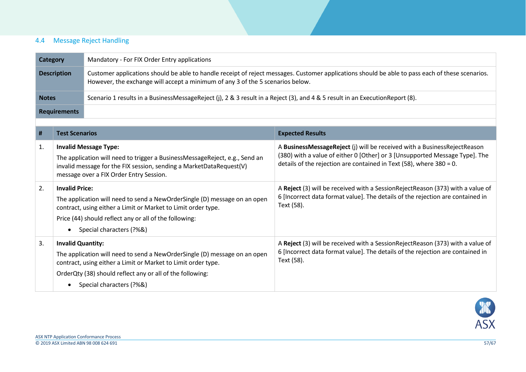# 4.4 Message Reject Handling

| Category           | Mandatory - For FIX Order Entry applications                                                                                                                                                                                       |
|--------------------|------------------------------------------------------------------------------------------------------------------------------------------------------------------------------------------------------------------------------------|
| <b>Description</b> | Customer applications should be able to handle receipt of reject messages. Customer applications should be able to pass each of these scenarios.<br>However, the exchange will accept a minimum of any 3 of the 5 scenarios below. |
| <b>Notes</b>       | Scenario 1 results in a BusinessMessageReject (j), 2 & 3 result in a Reject (3), and 4 & 5 result in an ExecutionReport (8).                                                                                                       |
| Requirements       |                                                                                                                                                                                                                                    |

<span id="page-56-0"></span>

| #  | <b>Test Scenarios</b>                                                                                                                                                                                                                                                        | <b>Expected Results</b>                                                                                                                                                                                                           |
|----|------------------------------------------------------------------------------------------------------------------------------------------------------------------------------------------------------------------------------------------------------------------------------|-----------------------------------------------------------------------------------------------------------------------------------------------------------------------------------------------------------------------------------|
| 1. | <b>Invalid Message Type:</b><br>The application will need to trigger a BusinessMessageReject, e.g., Send an<br>invalid message for the FIX session, sending a MarketDataRequest(V)<br>message over a FIX Order Entry Session.                                                | A BusinessMessageReject (j) will be received with a BusinessRejectReason<br>(380) with a value of either 0 [Other] or 3 [Unsupported Message Type]. The<br>details of the rejection are contained in Text (58), where $380 = 0$ . |
| 2. | <b>Invalid Price:</b><br>The application will need to send a NewOrderSingle (D) message on an open<br>contract, using either a Limit or Market to Limit order type.<br>Price (44) should reflect any or all of the following:<br>Special characters (?%&)<br>$\bullet$       | A Reject (3) will be received with a SessionRejectReason (373) with a value of<br>6 [Incorrect data format value]. The details of the rejection are contained in<br>Text (58).                                                    |
| 3. | <b>Invalid Quantity:</b><br>The application will need to send a NewOrderSingle (D) message on an open<br>contract, using either a Limit or Market to Limit order type.<br>OrderQty (38) should reflect any or all of the following:<br>Special characters (?%&)<br>$\bullet$ | A Reject (3) will be received with a SessionRejectReason (373) with a value of<br>6 [Incorrect data format value]. The details of the rejection are contained in<br>Text (58).                                                    |

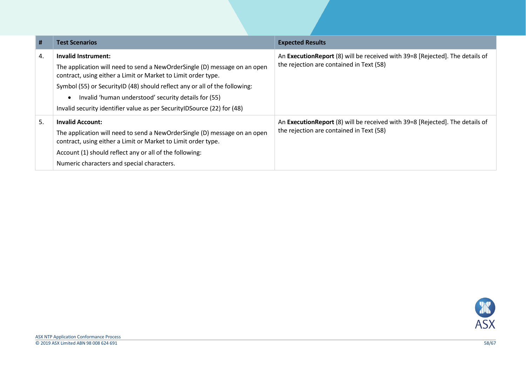| #  | <b>Test Scenarios</b>                                                                                                                                                                                                                                                                                                                                                                            | <b>Expected Results</b>                                                                                                   |
|----|--------------------------------------------------------------------------------------------------------------------------------------------------------------------------------------------------------------------------------------------------------------------------------------------------------------------------------------------------------------------------------------------------|---------------------------------------------------------------------------------------------------------------------------|
| 4. | Invalid Instrument:<br>The application will need to send a NewOrderSingle (D) message on an open<br>contract, using either a Limit or Market to Limit order type.<br>Symbol (55) or Security ID (48) should reflect any or all of the following:<br>Invalid 'human understood' security details for (55)<br>$\bullet$<br>Invalid security identifier value as per SecurityIDSource (22) for (48) | An Execution Report (8) will be received with 39=8 [Rejected]. The details of<br>the rejection are contained in Text (58) |
| 5. | <b>Invalid Account:</b><br>The application will need to send a NewOrderSingle (D) message on an open<br>contract, using either a Limit or Market to Limit order type.<br>Account (1) should reflect any or all of the following:<br>Numeric characters and special characters.                                                                                                                   | An Execution Report (8) will be received with 39=8 [Rejected]. The details of<br>the rejection are contained in Text (58) |

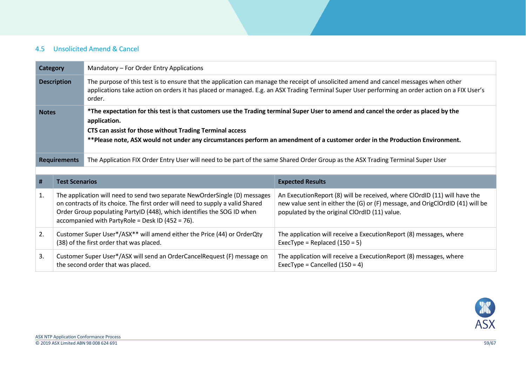## 4.5 Unsolicited Amend & Cancel

<span id="page-58-0"></span>

| <b>Category</b>    |                                                                                                                                                                                                                                                                                                                                             | Mandatory - For Order Entry Applications                                                                                                                                                                                                                                                                                                        |                                                                                                                                                            |  |
|--------------------|---------------------------------------------------------------------------------------------------------------------------------------------------------------------------------------------------------------------------------------------------------------------------------------------------------------------------------------------|-------------------------------------------------------------------------------------------------------------------------------------------------------------------------------------------------------------------------------------------------------------------------------------------------------------------------------------------------|------------------------------------------------------------------------------------------------------------------------------------------------------------|--|
| <b>Description</b> |                                                                                                                                                                                                                                                                                                                                             | The purpose of this test is to ensure that the application can manage the receipt of unsolicited amend and cancel messages when other<br>applications take action on orders it has placed or managed. E.g. an ASX Trading Terminal Super User performing an order action on a FIX User's<br>order.                                              |                                                                                                                                                            |  |
| <b>Notes</b>       |                                                                                                                                                                                                                                                                                                                                             | *The expectation for this test is that customers use the Trading terminal Super User to amend and cancel the order as placed by the<br>application.<br>CTS can assist for those without Trading Terminal access<br>**Please note, ASX would not under any circumstances perform an amendment of a customer order in the Production Environment. |                                                                                                                                                            |  |
|                    | <b>Requirements</b>                                                                                                                                                                                                                                                                                                                         | The Application FIX Order Entry User will need to be part of the same Shared Order Group as the ASX Trading Terminal Super User                                                                                                                                                                                                                 |                                                                                                                                                            |  |
|                    |                                                                                                                                                                                                                                                                                                                                             |                                                                                                                                                                                                                                                                                                                                                 |                                                                                                                                                            |  |
| #                  | <b>Test Scenarios</b>                                                                                                                                                                                                                                                                                                                       |                                                                                                                                                                                                                                                                                                                                                 | <b>Expected Results</b>                                                                                                                                    |  |
| 1.                 | The application will need to send two separate NewOrderSingle (D) messages<br>on contracts of its choice. The first order will need to supply a valid Shared<br>Order Group populating PartyID (448), which identifies the SOG ID when<br>populated by the original ClOrdID (11) value.<br>accompanied with PartyRole = Desk ID (452 = 76). |                                                                                                                                                                                                                                                                                                                                                 | An ExecutionReport (8) will be received, where ClOrdID (11) will have the<br>new value sent in either the (G) or (F) message, and OrigClOrdID (41) will be |  |
| 2.                 |                                                                                                                                                                                                                                                                                                                                             | Customer Super User*/ASX** will amend either the Price (44) or OrderQty<br>(38) of the first order that was placed.                                                                                                                                                                                                                             | The application will receive a ExecutionReport (8) messages, where<br>ExecType = Replaced $(150 = 5)$                                                      |  |
| 3.                 |                                                                                                                                                                                                                                                                                                                                             | Customer Super User*/ASX will send an OrderCancelRequest (F) message on<br>the second order that was placed.                                                                                                                                                                                                                                    | The application will receive a Execution Report (8) messages, where<br>ExecType = Cancelled $(150 = 4)$                                                    |  |

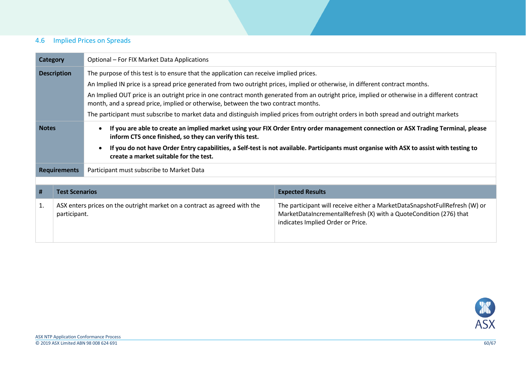## 4.6 Implied Prices on Spreads

<span id="page-59-0"></span>

| <b>Category</b>    |                       | Optional - For FIX Market Data Applications                                                                                                                                                                                                                                                                                                                                                                                                                                                                                                                                                             |                                                                                                                                                                                      |  |
|--------------------|-----------------------|---------------------------------------------------------------------------------------------------------------------------------------------------------------------------------------------------------------------------------------------------------------------------------------------------------------------------------------------------------------------------------------------------------------------------------------------------------------------------------------------------------------------------------------------------------------------------------------------------------|--------------------------------------------------------------------------------------------------------------------------------------------------------------------------------------|--|
| <b>Description</b> |                       | The purpose of this test is to ensure that the application can receive implied prices.<br>An Implied IN price is a spread price generated from two outright prices, implied or otherwise, in different contract months.<br>An Implied OUT price is an outright price in one contract month generated from an outright price, implied or otherwise in a different contract<br>month, and a spread price, implied or otherwise, between the two contract months.<br>The participant must subscribe to market data and distinguish implied prices from outright orders in both spread and outright markets |                                                                                                                                                                                      |  |
| <b>Notes</b>       |                       | If you are able to create an implied market using your FIX Order Entry order management connection or ASX Trading Terminal, please<br>$\bullet$<br>inform CTS once finished, so they can verify this test.<br>If you do not have Order Entry capabilities, a Self-test is not available. Participants must organise with ASX to assist with testing to<br>$\bullet$<br>create a market suitable for the test.                                                                                                                                                                                           |                                                                                                                                                                                      |  |
|                    | <b>Requirements</b>   | Participant must subscribe to Market Data                                                                                                                                                                                                                                                                                                                                                                                                                                                                                                                                                               |                                                                                                                                                                                      |  |
|                    |                       |                                                                                                                                                                                                                                                                                                                                                                                                                                                                                                                                                                                                         |                                                                                                                                                                                      |  |
| #                  | <b>Test Scenarios</b> |                                                                                                                                                                                                                                                                                                                                                                                                                                                                                                                                                                                                         | <b>Expected Results</b>                                                                                                                                                              |  |
| 1.                 | participant.          | ASX enters prices on the outright market on a contract as agreed with the                                                                                                                                                                                                                                                                                                                                                                                                                                                                                                                               | The participant will receive either a MarketDataSnapshotFullRefresh (W) or<br>MarketDataIncrementalRefresh (X) with a QuoteCondition (276) that<br>indicates Implied Order or Price. |  |

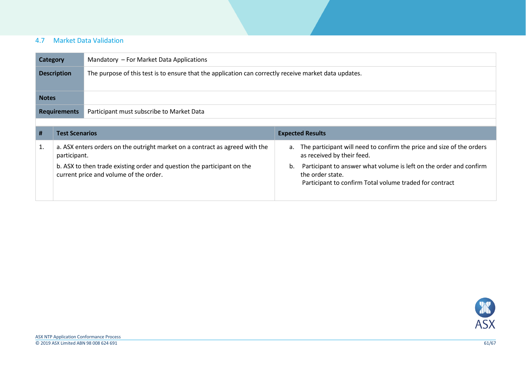## 4.7 Market Data Validation

| Category            | Mandatory - For Market Data Applications                                                              |
|---------------------|-------------------------------------------------------------------------------------------------------|
| <b>Description</b>  | The purpose of this test is to ensure that the application can correctly receive market data updates. |
| <b>Notes</b>        |                                                                                                       |
| <b>Requirements</b> | Participant must subscribe to Market Data                                                             |

<span id="page-60-0"></span>

| # | <b>Test Scenarios</b>                                                                                             | <b>Expected Results</b>                                                                                                                                 |
|---|-------------------------------------------------------------------------------------------------------------------|---------------------------------------------------------------------------------------------------------------------------------------------------------|
|   | a. ASX enters orders on the outright market on a contract as agreed with the<br>participant.                      | a. The participant will need to confirm the price and size of the orders<br>as received by their feed.                                                  |
|   | b. ASX to then trade existing order and question the participant on the<br>current price and volume of the order. | Participant to answer what volume is left on the order and confirm<br>b.<br>the order state.<br>Participant to confirm Total volume traded for contract |

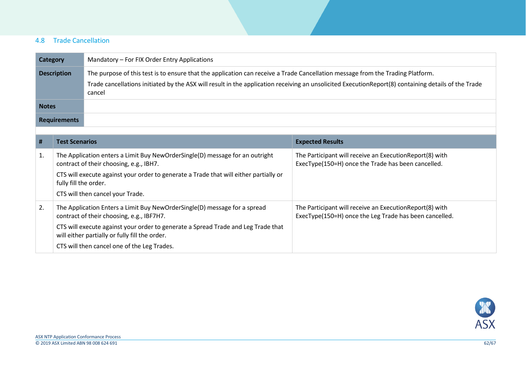## 4.8 Trade Cancellation

| <b>Category</b>     | Mandatory – For FIX Order Entry Applications                                                                                                                                                                                                                                                    |
|---------------------|-------------------------------------------------------------------------------------------------------------------------------------------------------------------------------------------------------------------------------------------------------------------------------------------------|
| <b>Description</b>  | The purpose of this test is to ensure that the application can receive a Trade Cancellation message from the Trading Platform.<br>Trade cancellations initiated by the ASX will result in the application receiving an unsolicited ExecutionReport(8) containing details of the Trade<br>cancel |
| <b>Notes</b>        |                                                                                                                                                                                                                                                                                                 |
| <b>Requirements</b> |                                                                                                                                                                                                                                                                                                 |

<span id="page-61-0"></span>

| #  | <b>Test Scenarios</b>                                                                                                               | <b>Expected Results</b>                                                                                            |
|----|-------------------------------------------------------------------------------------------------------------------------------------|--------------------------------------------------------------------------------------------------------------------|
| 1. | The Application enters a Limit Buy NewOrderSingle(D) message for an outright<br>contract of their choosing, e.g., IBH7.             | The Participant will receive an Execution Report(8) with<br>ExecType(150=H) once the Trade has been cancelled.     |
|    | CTS will execute against your order to generate a Trade that will either partially or<br>fully fill the order.                      |                                                                                                                    |
|    | CTS will then cancel your Trade.                                                                                                    |                                                                                                                    |
| 2. | The Application Enters a Limit Buy NewOrderSingle(D) message for a spread<br>contract of their choosing, e.g., IBF7H7.              | The Participant will receive an Execution Report(8) with<br>ExecType(150=H) once the Leg Trade has been cancelled. |
|    | CTS will execute against your order to generate a Spread Trade and Leg Trade that<br>will either partially or fully fill the order. |                                                                                                                    |
|    | CTS will then cancel one of the Leg Trades.                                                                                         |                                                                                                                    |

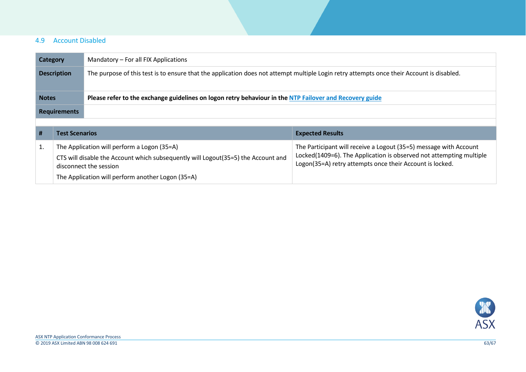#### 4.9 Account Disabled

| Category            | Mandatory - For all FIX Applications                                                                                                      |
|---------------------|-------------------------------------------------------------------------------------------------------------------------------------------|
| <b>Description</b>  | The purpose of this test is to ensure that the application does not attempt multiple Login retry attempts once their Account is disabled. |
| <b>Notes</b>        | Please refer to the exchange guidelines on logon retry behaviour in the NTP Failover and Recovery guide                                   |
| <b>Requirements</b> |                                                                                                                                           |
|                     |                                                                                                                                           |

<span id="page-62-0"></span>

| <b>Test Scenarios</b>                                                                                                                                                                                            | <b>Expected Results</b>                                                                                                                                                                              |
|------------------------------------------------------------------------------------------------------------------------------------------------------------------------------------------------------------------|------------------------------------------------------------------------------------------------------------------------------------------------------------------------------------------------------|
| The Application will perform a Logon (35=A)<br>CTS will disable the Account which subsequently will Logout (35=5) the Account and<br>disconnect the session<br>The Application will perform another Logon (35=A) | The Participant will receive a Logout (35=5) message with Account<br>Locked(1409=6). The Application is observed not attempting multiple<br>Logon(35=A) retry attempts once their Account is locked. |

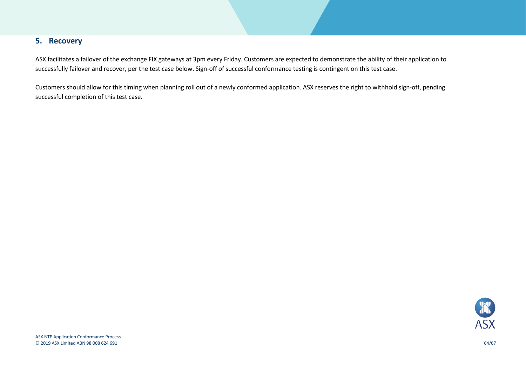## **5. Recovery**

ASX facilitates a failover of the exchange FIX gateways at 3pm every Friday. Customers are expected to demonstrate the ability of their application to successfully failover and recover, per the test case below. Sign-off of successful conformance testing is contingent on this test case.

<span id="page-63-0"></span>Customers should allow for this timing when planning roll out of a newly conformed application. ASX reserves the right to withhold sign-off, pending successful completion of this test case.

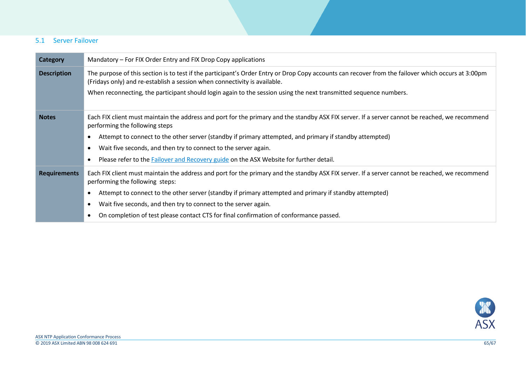#### 5.1 Server Failover

<span id="page-64-0"></span>

| <b>Category</b>     | Mandatory – For FIX Order Entry and FIX Drop Copy applications                                                                                                                                                                  |  |
|---------------------|---------------------------------------------------------------------------------------------------------------------------------------------------------------------------------------------------------------------------------|--|
| <b>Description</b>  | The purpose of this section is to test if the participant's Order Entry or Drop Copy accounts can recover from the failover which occurs at 3:00pm<br>(Fridays only) and re-establish a session when connectivity is available. |  |
|                     | When reconnecting, the participant should login again to the session using the next transmitted sequence numbers.                                                                                                               |  |
| <b>Notes</b>        | Each FIX client must maintain the address and port for the primary and the standby ASX FIX server. If a server cannot be reached, we recommend<br>performing the following steps                                                |  |
|                     | Attempt to connect to the other server (standby if primary attempted, and primary if standby attempted)                                                                                                                         |  |
|                     | Wait five seconds, and then try to connect to the server again.                                                                                                                                                                 |  |
|                     | Please refer to the Failover and Recovery guide on the ASX Website for further detail.                                                                                                                                          |  |
| <b>Requirements</b> | Each FIX client must maintain the address and port for the primary and the standby ASX FIX server. If a server cannot be reached, we recommend<br>performing the following steps:                                               |  |
|                     | Attempt to connect to the other server (standby if primary attempted and primary if standby attempted)                                                                                                                          |  |
|                     | Wait five seconds, and then try to connect to the server again.                                                                                                                                                                 |  |
|                     | On completion of test please contact CTS for final confirmation of conformance passed.                                                                                                                                          |  |

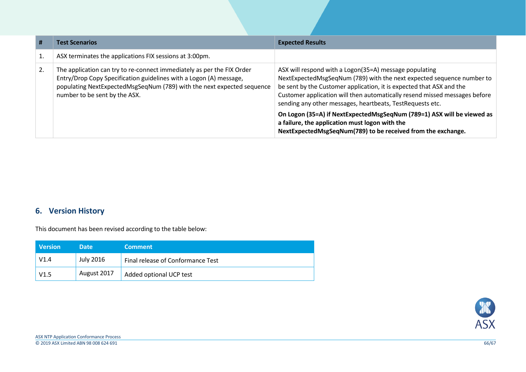| #  | <b>Test Scenarios</b>                                                                                                                                                                                                                                   | <b>Expected Results</b>                                                                                                                                                                                                                                                                                                                            |
|----|---------------------------------------------------------------------------------------------------------------------------------------------------------------------------------------------------------------------------------------------------------|----------------------------------------------------------------------------------------------------------------------------------------------------------------------------------------------------------------------------------------------------------------------------------------------------------------------------------------------------|
| 1. | ASX terminates the applications FIX sessions at 3:00pm.                                                                                                                                                                                                 |                                                                                                                                                                                                                                                                                                                                                    |
| 2. | The application can try to re-connect immediately as per the FIX Order<br>Entry/Drop Copy Specification guidelines with a Logon (A) message,<br>populating NextExpectedMsgSeqNum (789) with the next expected sequence<br>number to be sent by the ASX. | ASX will respond with a Logon(35=A) message populating<br>NextExpectedMsgSeqNum (789) with the next expected sequence number to<br>be sent by the Customer application, it is expected that ASX and the<br>Customer application will then automatically resend missed messages before<br>sending any other messages, heartbeats, TestRequests etc. |
|    |                                                                                                                                                                                                                                                         | On Logon (35=A) if NextExpectedMsgSeqNum (789=1) ASX will be viewed as<br>a failure, the application must logon with the<br>NextExpectedMsgSeqNum(789) to be received from the exchange.                                                                                                                                                           |

# **6. Version History**

This document has been revised according to the table below:

<span id="page-65-0"></span>

| <b>Version</b> | <b>Date</b> | <b>Comment</b>                    |
|----------------|-------------|-----------------------------------|
| V1.4           | July 2016   | Final release of Conformance Test |
| V1.5           | August 2017 | Added optional UCP test           |